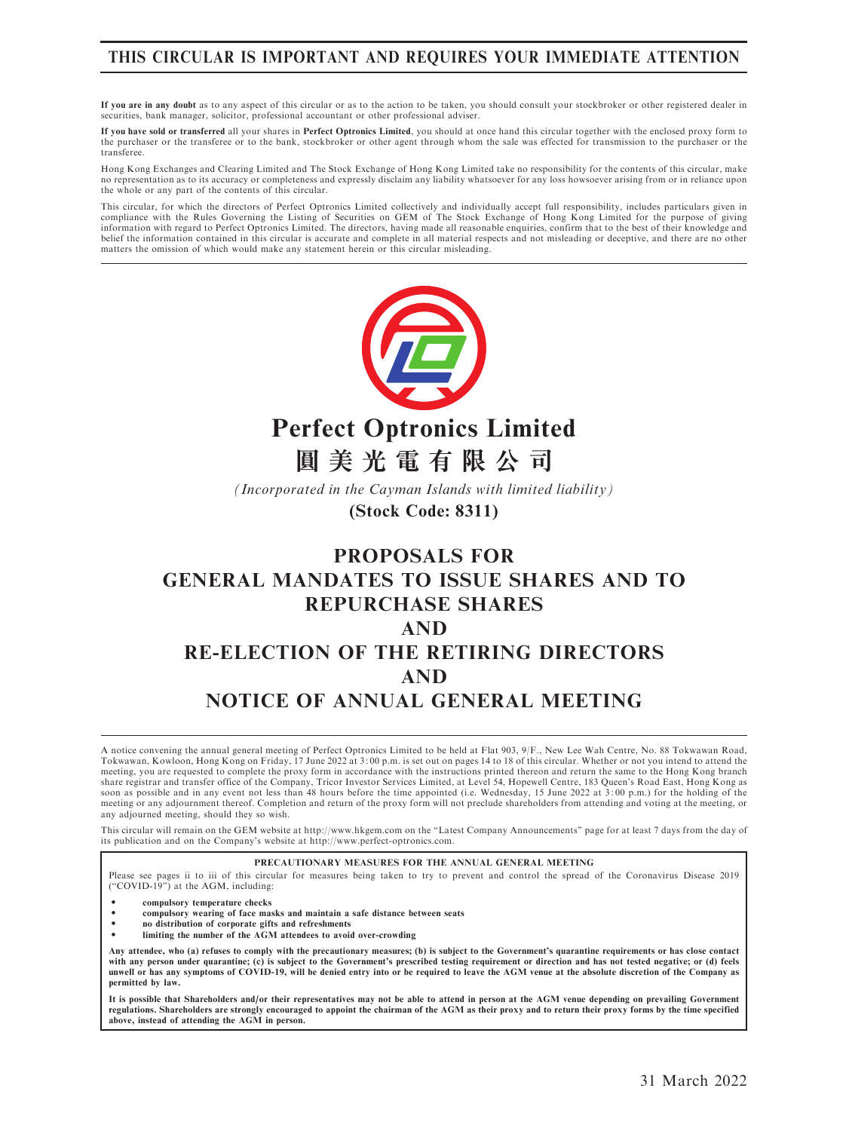## THIS CIRCULAR IS IMPORTANT AND REQUIRES YOUR IMMEDIATE ATTENTION

If you are in any doubt as to any aspect of this circular or as to the action to be taken, you should consult your stockbroker or other registered dealer in securities, bank manager, solicitor, professional accountant or other professional adviser.

If you have sold or transferred all your shares in Perfect Optronics Limited, you should at once hand this circular together with the enclosed proxy form to the purchaser or the transferee or to the bank, stockbroker or other agent through whom the sale was effected for transmission to the purchaser or the transferee.

Hong Kong Exchanges and Clearing Limited and The Stock Exchange of Hong Kong Limited take no responsibility for the contents of this circular, make no representation as to its accuracy or completeness and expressly disclaim any liability whatsoever for any loss howsoever arising from or in reliance upon the whole or any part of the contents of this circular.

This circular, for which the directors of Perfect Optronics Limited collectively and individually accept full responsibility, includes particulars given in compliance with the Rules Governing the Listing of Securities on GEM of The Stock Exchange of Hong Kong Limited for the purpose of giving information with regard to Perfect Optronics Limited. The directors, having made all reasonable enquiries, confirm that to the best of their knowledge and belief the information contained in this circular is accurate and complete in all material respects and not misleading or deceptive, and there are no other<br>matters the omission of which would make any statement herein or t



**Perfect Optronics Limited**

**圓美光電有限公司**

*(Incorporated in the Cayman Islands with limited liability)*

**(Stock Code: 8311)**

# PROPOSALS FOR GENERAL MANDATES TO ISSUE SHARES AND TO REPURCHASE SHARES AND RE-ELECTION OF THE RETIRING DIRECTORS AND NOTICE OF ANNUAL GENERAL MEETING

A notice convening the annual general meeting of Perfect Optronics Limited to be held at Flat 903, 9/F., New Lee Wah Centre, No. 88 Tokwawan Road, Tokwawan, Kowloon, Hong Kong on Friday, 17 June 2022 at 3: 00 p.m. is set out on pages 14 to 18 of this circular. Whether or not you intend to attend the meeting, you are requested to complete the proxy form in accordance with the instructions printed thereon and return the same to the Hong Kong branch share registrar and transfer office of the Company, Tricor Investor Services Limited, at Level 54, Hopewell Centre, 183 Queen's Road East, Hong Kong as soon as possible and in any event not less than 48 hours before the time appointed (i.e. Wednesday, 15 June 2022 at 3: 00 p.m.) for the holding of the meeting or any adjournment thereof. Completion and return of the proxy form will not preclude shareholders from attending and voting at the meeting, or any adjourned meeting, should they so wish.

This circular will remain on the GEM website at http://www.hkgem.com on the "Latest Company Announcements" page for at least 7 days from the day of<br>its publication and on the Company's website at http://www.perfect-optroni

#### PRECAUTIONARY MEASURES FOR THE ANNUAL GENERAL MEETING

Please see pages ii to iii of this circular for measures being taken to try to prevent and control the spread of the Coronavirus Disease 2019 (''COVID-19'') at the AGM, including:

- ‧ compulsory temperature checks
- ‧ compulsory wearing of face masks and maintain a safe distance between seats
- no distribution of corporate gifts and refreshments
- limiting the number of the  $\tilde{AGM}$  attendees to avoid over-crowding

Any attendee, who (a) refuses to comply with the precautionary measures; (b) is subject to the Government's quarantine requirements or has close contact<br>with any person under quarantine; (c) is subject to the Government's unwell or has any symptoms of COVID-19, will be denied entry into or be required to leave the AGM venue at the absolute discretion of the Company as permitted by law.

It is possible that Shareholders and/or their representatives may not be able to attend in person at the AGM venue depending on prevailing Government regulations. Shareholders are strongly encouraged to appoint the chairman of the AGM as their proxy and to return their proxy forms by the time specified above, instead of attending the AGM in person.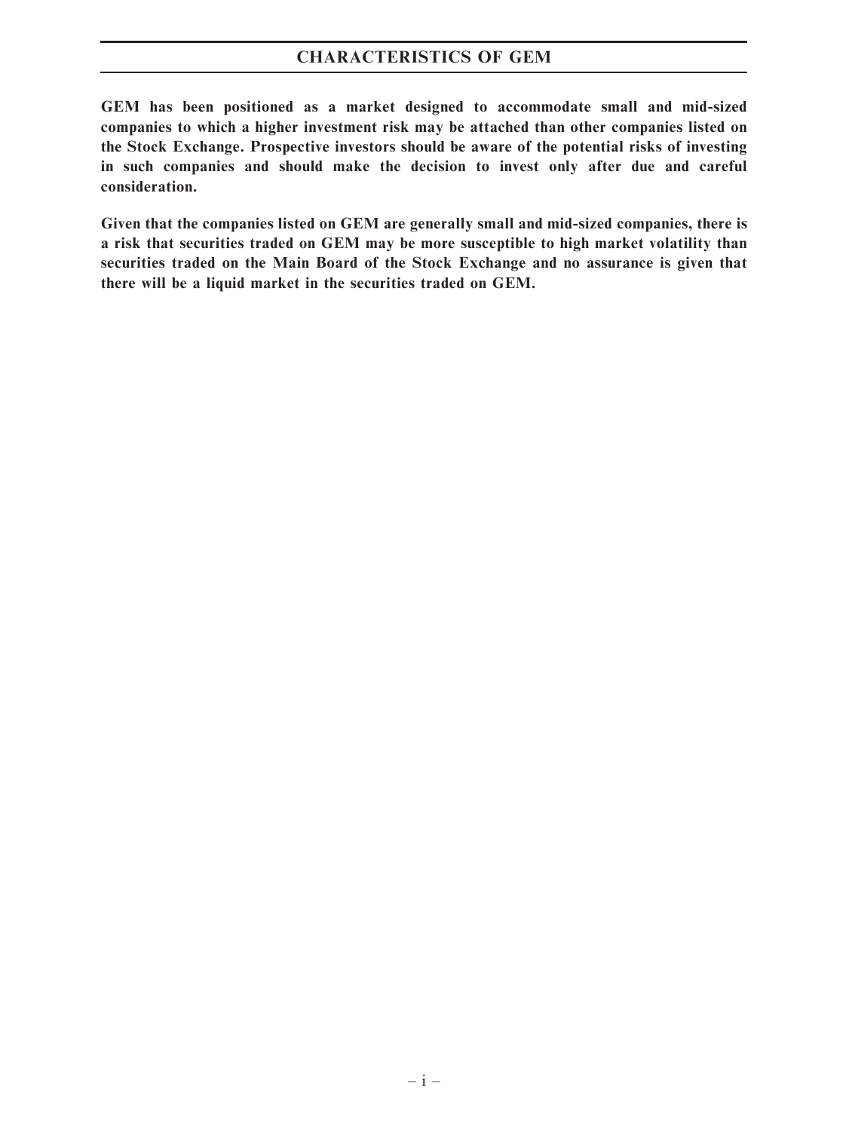## CHARACTERISTICS OF GEM

GEM has been positioned as a market designed to accommodate small and mid-sized companies to which a higher investment risk may be attached than other companies listed on the Stock Exchange. Prospective investors should be aware of the potential risks of investing in such companies and should make the decision to invest only after due and careful consideration.

Given that the companies listed on GEM are generally small and mid-sized companies, there is a risk that securities traded on GEM may be more susceptible to high market volatility than securities traded on the Main Board of the Stock Exchange and no assurance is given that there will be a liquid market in the securities traded on GEM.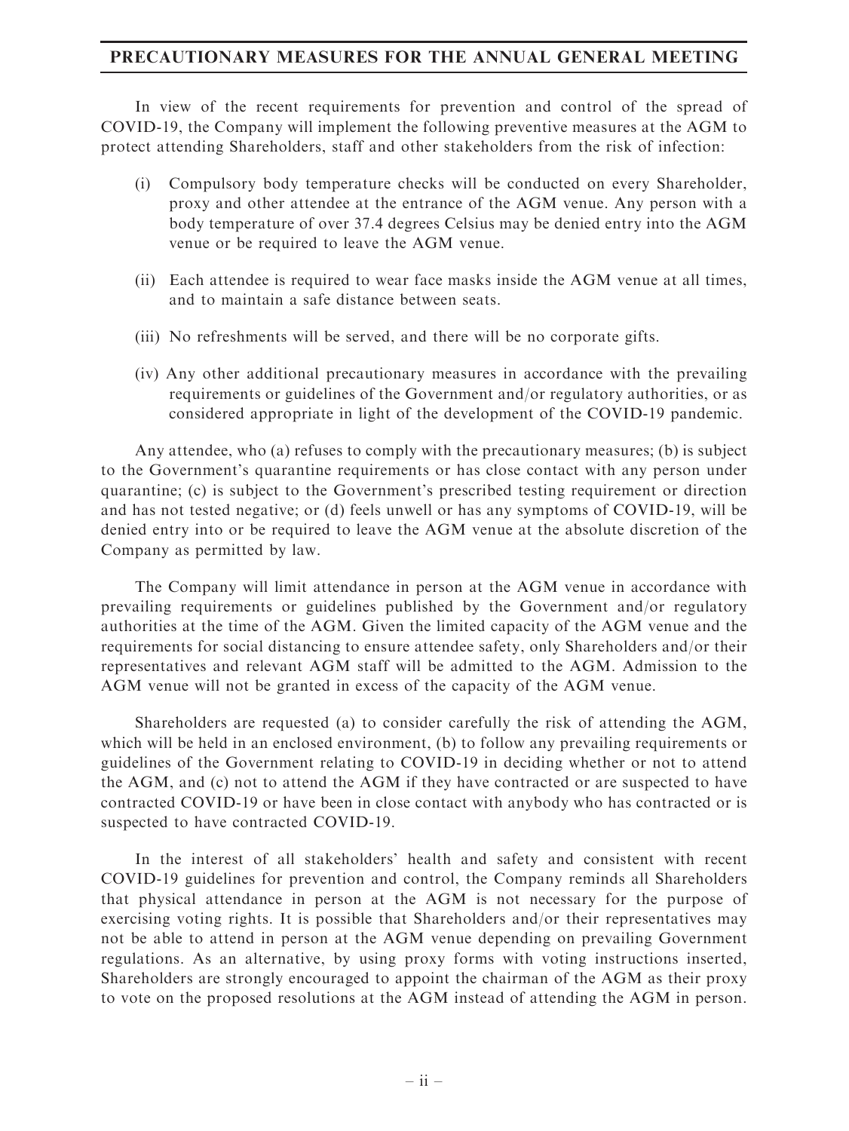## PRECAUTIONARY MEASURES FOR THE ANNUAL GENERAL MEETING

In view of the recent requirements for prevention and control of the spread of COVID-19, the Company will implement the following preventive measures at the AGM to protect attending Shareholders, staff and other stakeholders from the risk of infection:

- (i) Compulsory body temperature checks will be conducted on every Shareholder, proxy and other attendee at the entrance of the AGM venue. Any person with a body temperature of over 37.4 degrees Celsius may be denied entry into the AGM venue or be required to leave the AGM venue.
- (ii) Each attendee is required to wear face masks inside the AGM venue at all times, and to maintain a safe distance between seats.
- (iii) No refreshments will be served, and there will be no corporate gifts.
- (iv) Any other additional precautionary measures in accordance with the prevailing requirements or guidelines of the Government and/or regulatory authorities, or as considered appropriate in light of the development of the COVID-19 pandemic.

Any attendee, who (a) refuses to comply with the precautionary measures; (b) is subject to the Government's quarantine requirements or has close contact with any person under quarantine; (c) is subject to the Government's prescribed testing requirement or direction and has not tested negative; or (d) feels unwell or has any symptoms of COVID-19, will be denied entry into or be required to leave the AGM venue at the absolute discretion of the Company as permitted by law.

The Company will limit attendance in person at the AGM venue in accordance with prevailing requirements or guidelines published by the Government and/or regulatory authorities at the time of the AGM. Given the limited capacity of the AGM venue and the requirements for social distancing to ensure attendee safety, only Shareholders and/or their representatives and relevant AGM staff will be admitted to the AGM. Admission to the AGM venue will not be granted in excess of the capacity of the AGM venue.

Shareholders are requested (a) to consider carefully the risk of attending the AGM, which will be held in an enclosed environment, (b) to follow any prevailing requirements or guidelines of the Government relating to COVID-19 in deciding whether or not to attend the AGM, and (c) not to attend the AGM if they have contracted or are suspected to have contracted COVID-19 or have been in close contact with anybody who has contracted or is suspected to have contracted COVID-19.

In the interest of all stakeholders' health and safety and consistent with recent COVID-19 guidelines for prevention and control, the Company reminds all Shareholders that physical attendance in person at the AGM is not necessary for the purpose of exercising voting rights. It is possible that Shareholders and/or their representatives may not be able to attend in person at the AGM venue depending on prevailing Government regulations. As an alternative, by using proxy forms with voting instructions inserted, Shareholders are strongly encouraged to appoint the chairman of the AGM as their proxy to vote on the proposed resolutions at the AGM instead of attending the AGM in person.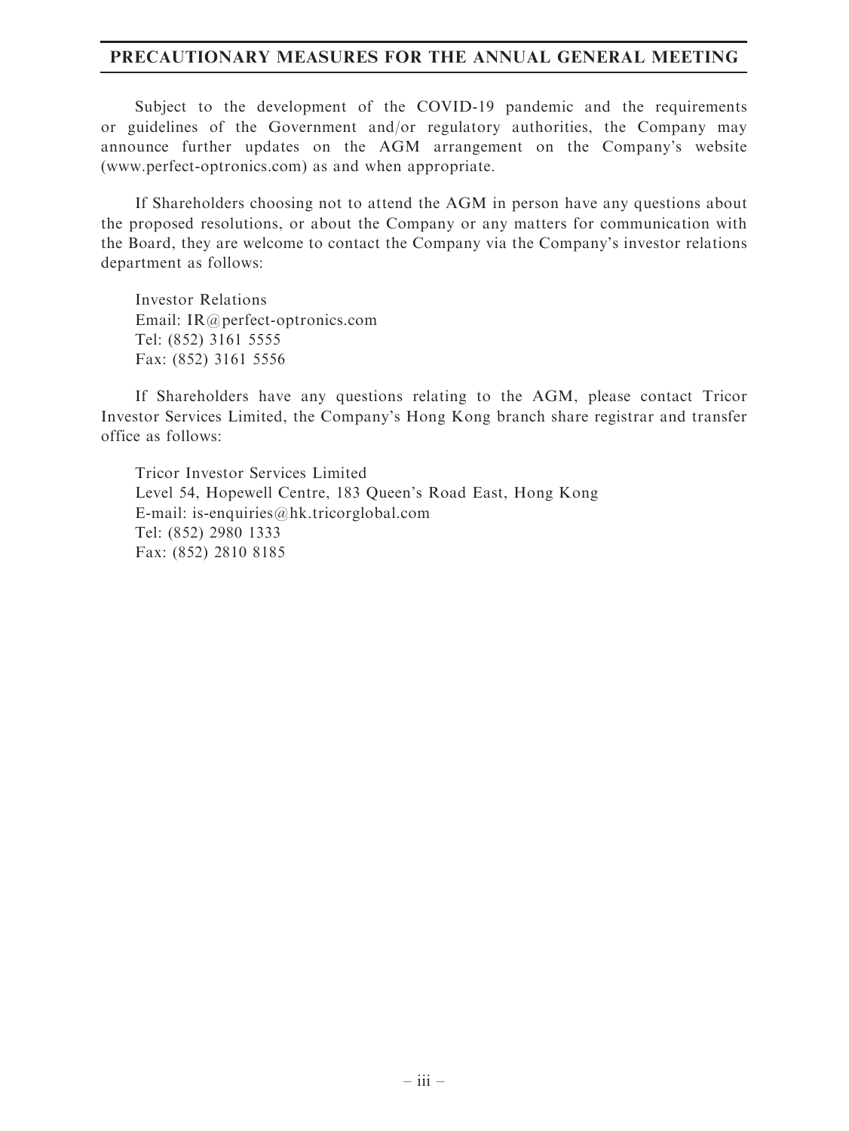## PRECAUTIONARY MEASURES FOR THE ANNUAL GENERAL MEETING

Subject to the development of the COVID-19 pandemic and the requirements or guidelines of the Government and/or regulatory authorities, the Company may announce further updates on the AGM arrangement on the Company's website (www.perfect-optronics.com) as and when appropriate.

If Shareholders choosing not to attend the AGM in person have any questions about the proposed resolutions, or about the Company or any matters for communication with the Board, they are welcome to contact the Company via the Company's investor relations department as follows:

Investor Relations Email: IR@perfect-optronics.com Tel: (852) 3161 5555 Fax: (852) 3161 5556

If Shareholders have any questions relating to the AGM, please contact Tricor Investor Services Limited, the Company's Hong Kong branch share registrar and transfer office as follows:

Tricor Investor Services Limited Level 54, Hopewell Centre, 183 Queen's Road East, Hong Kong E-mail: is-enquiries@hk.tricorglobal.com Tel: (852) 2980 1333 Fax: (852) 2810 8185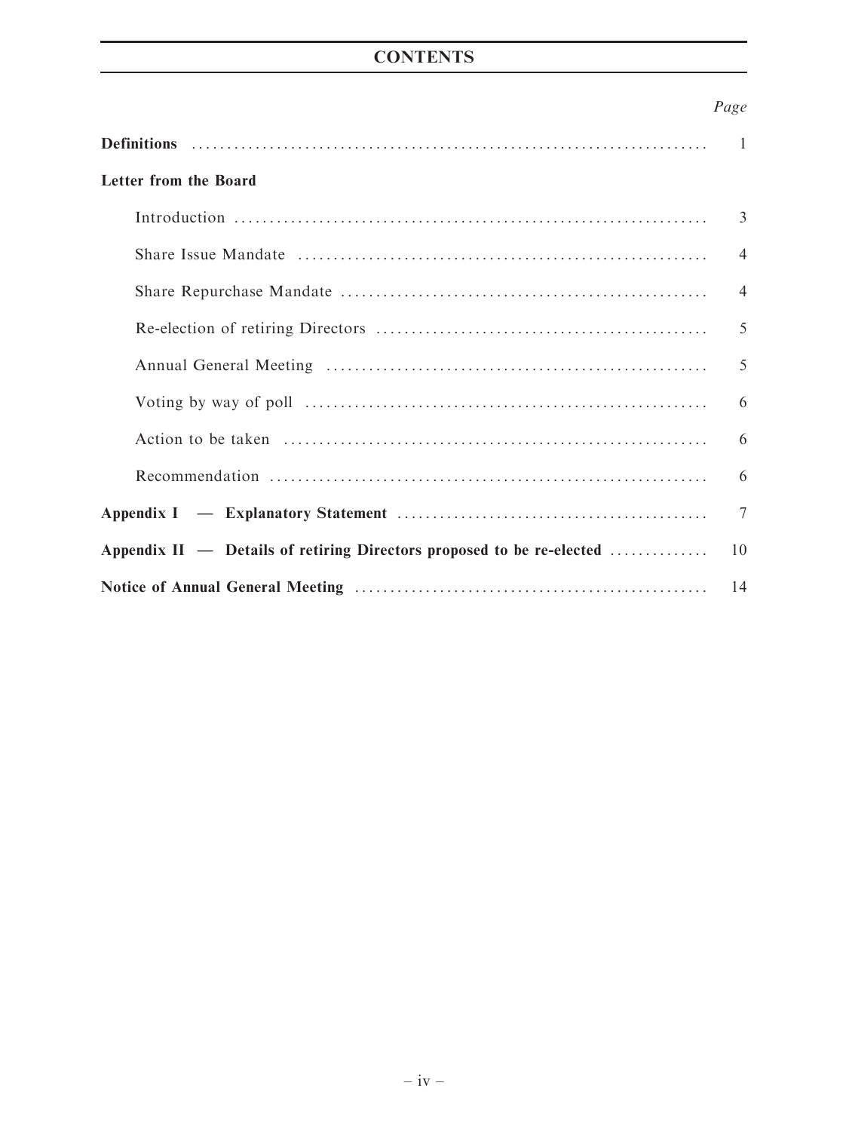## **CONTENTS**

## Page

|                                                                       | $\mathbf{1}$   |  |
|-----------------------------------------------------------------------|----------------|--|
| <b>Letter from the Board</b>                                          |                |  |
|                                                                       | 3              |  |
|                                                                       | $\overline{4}$ |  |
|                                                                       | $\overline{4}$ |  |
|                                                                       | 5              |  |
|                                                                       | 5              |  |
|                                                                       | 6              |  |
|                                                                       | 6              |  |
|                                                                       | 6              |  |
|                                                                       | 7              |  |
| Appendix II — Details of retiring Directors proposed to be re-elected |                |  |
|                                                                       |                |  |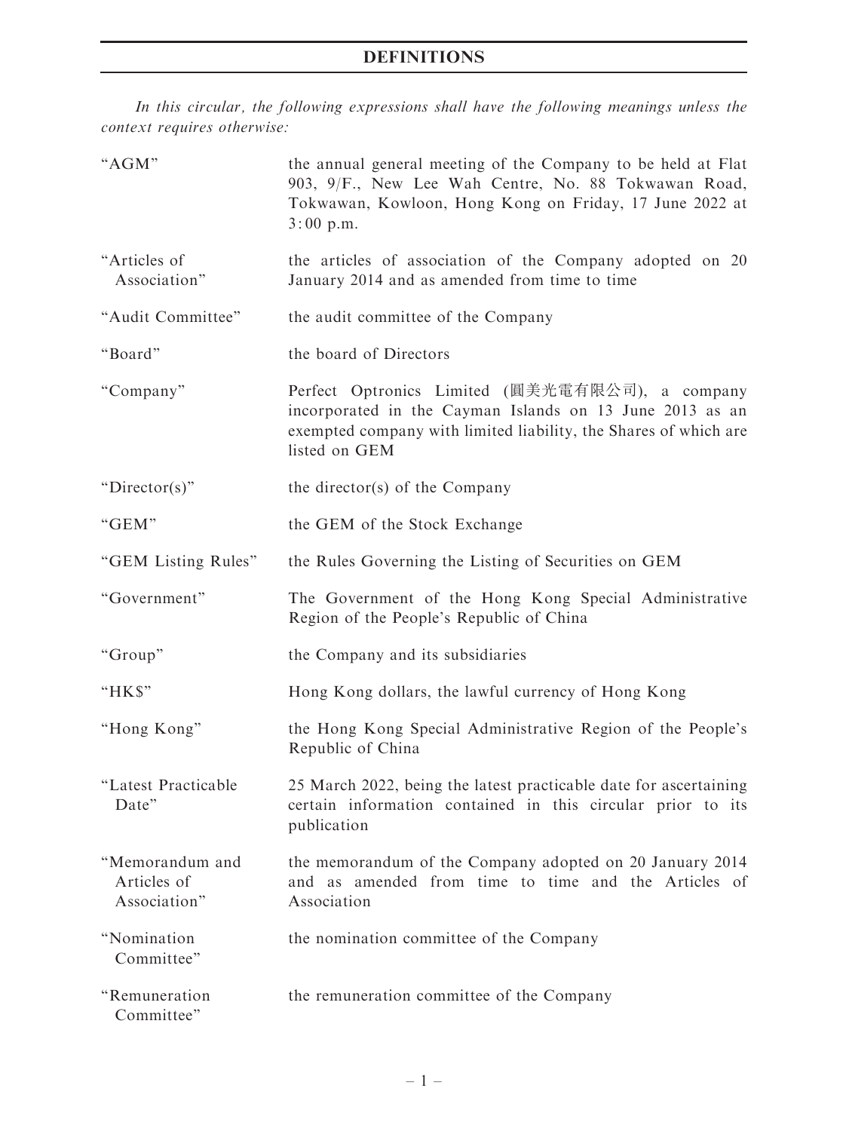In this circular, the following expressions shall have the following meanings unless the context requires otherwise:

| "AGM"                                          | the annual general meeting of the Company to be held at Flat<br>903, 9/F., New Lee Wah Centre, No. 88 Tokwawan Road,<br>Tokwawan, Kowloon, Hong Kong on Friday, 17 June 2022 at<br>$3:00$ p.m.   |
|------------------------------------------------|--------------------------------------------------------------------------------------------------------------------------------------------------------------------------------------------------|
| "Articles of<br>Association"                   | the articles of association of the Company adopted on 20<br>January 2014 and as amended from time to time                                                                                        |
| "Audit Committee"                              | the audit committee of the Company                                                                                                                                                               |
| "Board"                                        | the board of Directors                                                                                                                                                                           |
| "Company"                                      | Perfect Optronics Limited (圓美光電有限公司), a company<br>incorporated in the Cayman Islands on 13 June 2013 as an<br>exempted company with limited liability, the Shares of which are<br>listed on GEM |
| " $Director(s)$ "                              | the director(s) of the Company                                                                                                                                                                   |
| "GEM"                                          | the GEM of the Stock Exchange                                                                                                                                                                    |
| "GEM Listing Rules"                            | the Rules Governing the Listing of Securities on GEM                                                                                                                                             |
| "Government"                                   | The Government of the Hong Kong Special Administrative<br>Region of the People's Republic of China                                                                                               |
| "Group"                                        | the Company and its subsidiaries                                                                                                                                                                 |
| "HK\$"                                         | Hong Kong dollars, the lawful currency of Hong Kong                                                                                                                                              |
| "Hong Kong"                                    | the Hong Kong Special Administrative Region of the People's<br>Republic of China                                                                                                                 |
| "Latest Practicable<br>Date"                   | 25 March 2022, being the latest practicable date for ascertaining<br>certain information contained in this circular prior to its<br>publication                                                  |
| "Memorandum and<br>Articles of<br>Association" | the memorandum of the Company adopted on 20 January 2014<br>and as amended from time to time and the Articles of<br>Association                                                                  |
| "Nomination<br>Committee"                      | the nomination committee of the Company                                                                                                                                                          |
| "Remuneration<br>Committee"                    | the remuneration committee of the Company                                                                                                                                                        |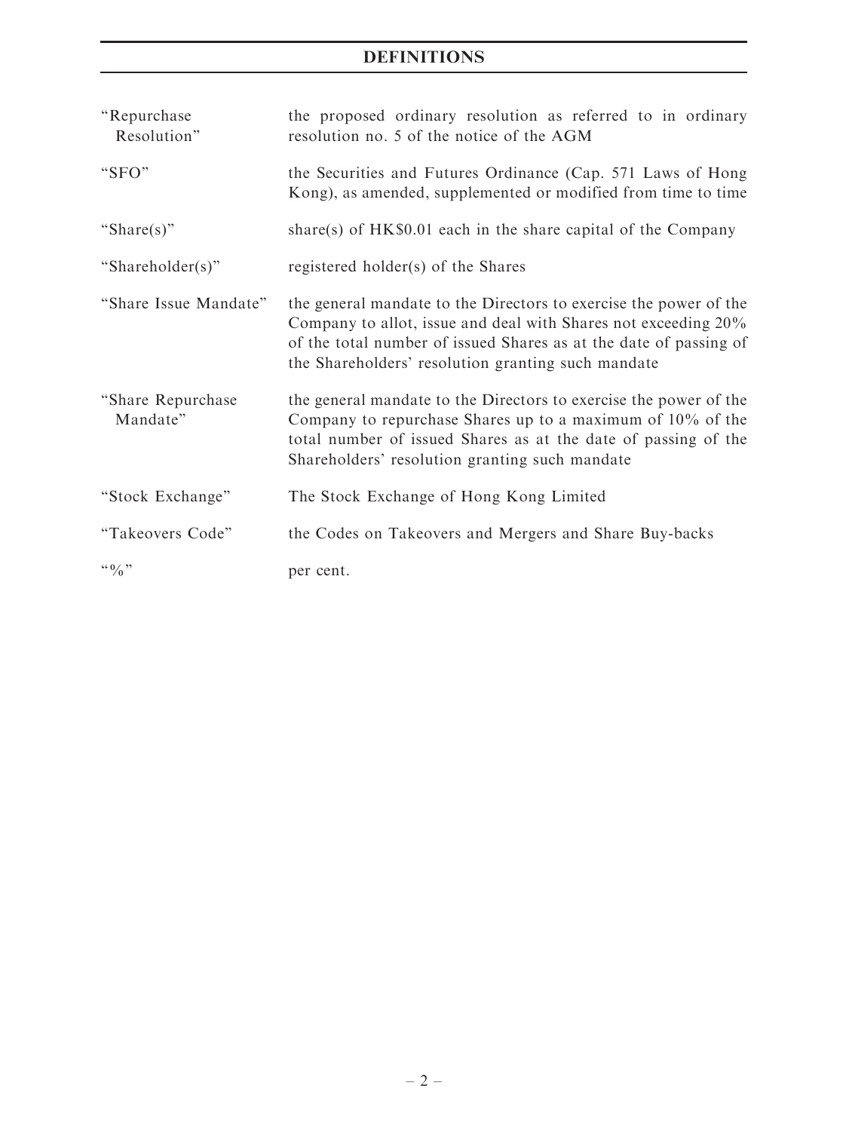## DEFINITIONS

| "Repurchase"<br>Resolution"   | the proposed ordinary resolution as referred to in ordinary<br>resolution no. 5 of the notice of the AGM                                                                                                                                                       |
|-------------------------------|----------------------------------------------------------------------------------------------------------------------------------------------------------------------------------------------------------------------------------------------------------------|
| "SFO"                         | the Securities and Futures Ordinance (Cap. 571 Laws of Hong<br>Kong), as amended, supplemented or modified from time to time                                                                                                                                   |
| "Share(s)"                    | share(s) of $HK\$0.01$ each in the share capital of the Company                                                                                                                                                                                                |
| "Shareholder(s)"              | registered holder(s) of the Shares                                                                                                                                                                                                                             |
| "Share Issue Mandate"         | the general mandate to the Directors to exercise the power of the<br>Company to allot, issue and deal with Shares not exceeding 20%<br>of the total number of issued Shares as at the date of passing of<br>the Shareholders' resolution granting such mandate |
| "Share Repurchase<br>Mandate" | the general mandate to the Directors to exercise the power of the<br>Company to repurchase Shares up to a maximum of $10\%$ of the<br>total number of issued Shares as at the date of passing of the<br>Shareholders' resolution granting such mandate         |
| "Stock Exchange"              | The Stock Exchange of Hong Kong Limited                                                                                                                                                                                                                        |
| "Takeovers Code"              | the Codes on Takeovers and Mergers and Share Buy-backs                                                                                                                                                                                                         |
| $``\frac{0}{0}"$              | per cent.                                                                                                                                                                                                                                                      |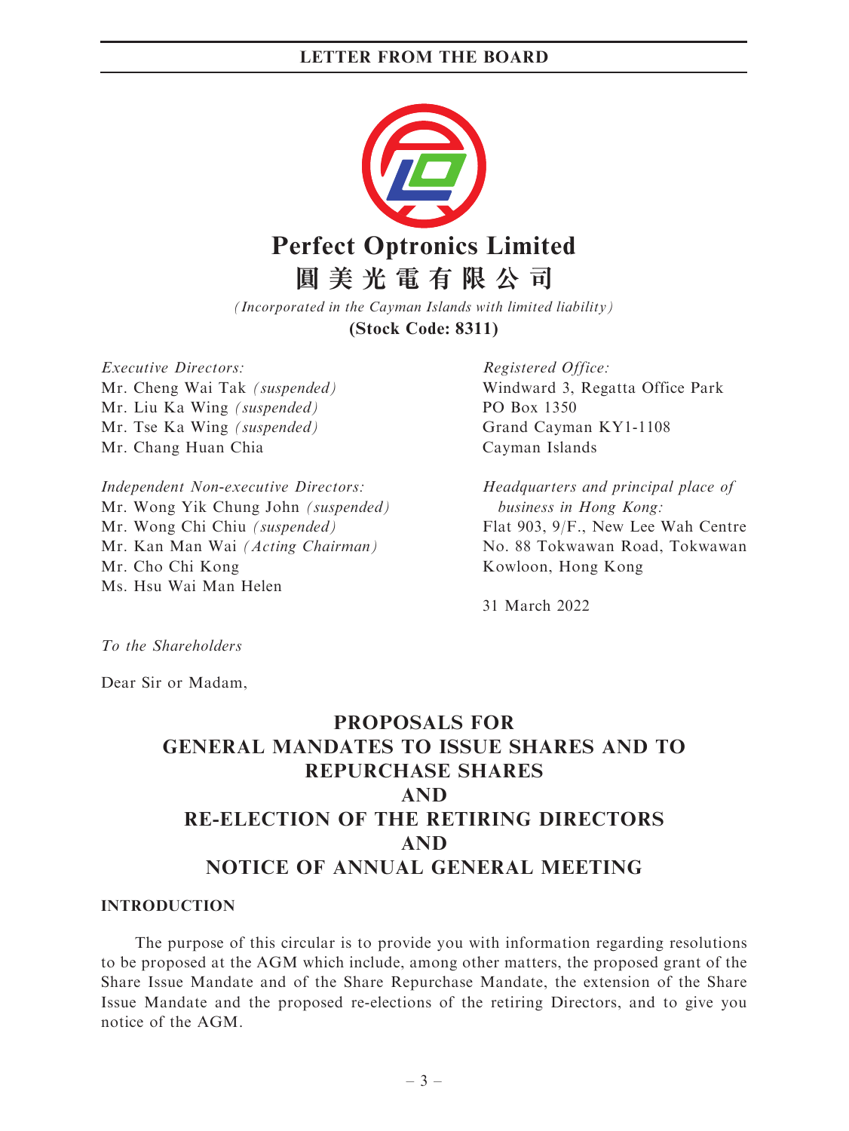

*(Incorporated in the Cayman Islands with limited liability)* **(Stock Code: 8311)**

Executive Directors: Mr. Cheng Wai Tak (suspended) Mr. Liu Ka Wing (suspended) Mr. Tse Ka Wing (suspended) Mr. Chang Huan Chia

Independent Non-executive Directors: Mr. Wong Yik Chung John (suspended) Mr. Wong Chi Chiu (suspended) Mr. Kan Man Wai (Acting Chairman) Mr. Cho Chi Kong Ms. Hsu Wai Man Helen

Registered Office: Windward 3, Regatta Office Park PO Box 1350 Grand Cayman KY1-1108 Cayman Islands

Headquarters and principal place of business in Hong Kong: Flat 903, 9/F., New Lee Wah Centre No. 88 Tokwawan Road, Tokwawan Kowloon, Hong Kong

31 March 2022

To the Shareholders

Dear Sir or Madam,

## PROPOSALS FOR GENERAL MANDATES TO ISSUE SHARES AND TO REPURCHASE SHARES AND RE-ELECTION OF THE RETIRING DIRECTORS AND NOTICE OF ANNUAL GENERAL MEETING

#### INTRODUCTION

The purpose of this circular is to provide you with information regarding resolutions to be proposed at the AGM which include, among other matters, the proposed grant of the Share Issue Mandate and of the Share Repurchase Mandate, the extension of the Share Issue Mandate and the proposed re-elections of the retiring Directors, and to give you notice of the AGM.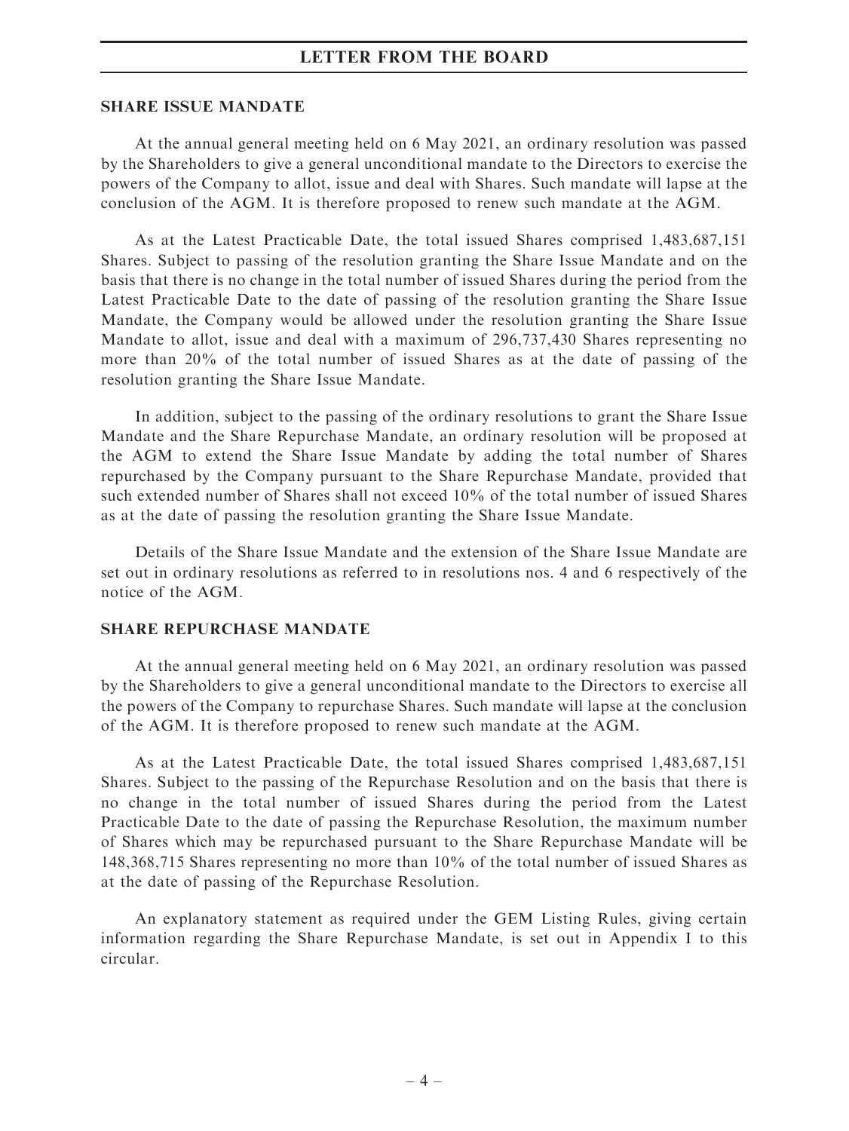#### SHARE ISSUE MANDATE

At the annual general meeting held on 6 May 2021, an ordinary resolution was passed by the Shareholders to give a general unconditional mandate to the Directors to exercise the powers of the Company to allot, issue and deal with Shares. Such mandate will lapse at the conclusion of the AGM. It is therefore proposed to renew such mandate at the AGM.

As at the Latest Practicable Date, the total issued Shares comprised 1,483,687,151 Shares. Subject to passing of the resolution granting the Share Issue Mandate and on the basis that there is no change in the total number of issued Shares during the period from the Latest Practicable Date to the date of passing of the resolution granting the Share Issue Mandate, the Company would be allowed under the resolution granting the Share Issue Mandate to allot, issue and deal with a maximum of 296,737,430 Shares representing no more than 20% of the total number of issued Shares as at the date of passing of the resolution granting the Share Issue Mandate.

In addition, subject to the passing of the ordinary resolutions to grant the Share Issue Mandate and the Share Repurchase Mandate, an ordinary resolution will be proposed at the AGM to extend the Share Issue Mandate by adding the total number of Shares repurchased by the Company pursuant to the Share Repurchase Mandate, provided that such extended number of Shares shall not exceed 10% of the total number of issued Shares as at the date of passing the resolution granting the Share Issue Mandate.

Details of the Share Issue Mandate and the extension of the Share Issue Mandate are set out in ordinary resolutions as referred to in resolutions nos. 4 and 6 respectively of the notice of the AGM.

#### SHARE REPURCHASE MANDATE

At the annual general meeting held on 6 May 2021, an ordinary resolution was passed by the Shareholders to give a general unconditional mandate to the Directors to exercise all the powers of the Company to repurchase Shares. Such mandate will lapse at the conclusion of the AGM. It is therefore proposed to renew such mandate at the AGM.

As at the Latest Practicable Date, the total issued Shares comprised 1,483,687,151 Shares. Subject to the passing of the Repurchase Resolution and on the basis that there is no change in the total number of issued Shares during the period from the Latest Practicable Date to the date of passing the Repurchase Resolution, the maximum number of Shares which may be repurchased pursuant to the Share Repurchase Mandate will be 148,368,715 Shares representing no more than 10% of the total number of issued Shares as at the date of passing of the Repurchase Resolution.

An explanatory statement as required under the GEM Listing Rules, giving certain information regarding the Share Repurchase Mandate, is set out in Appendix I to this circular.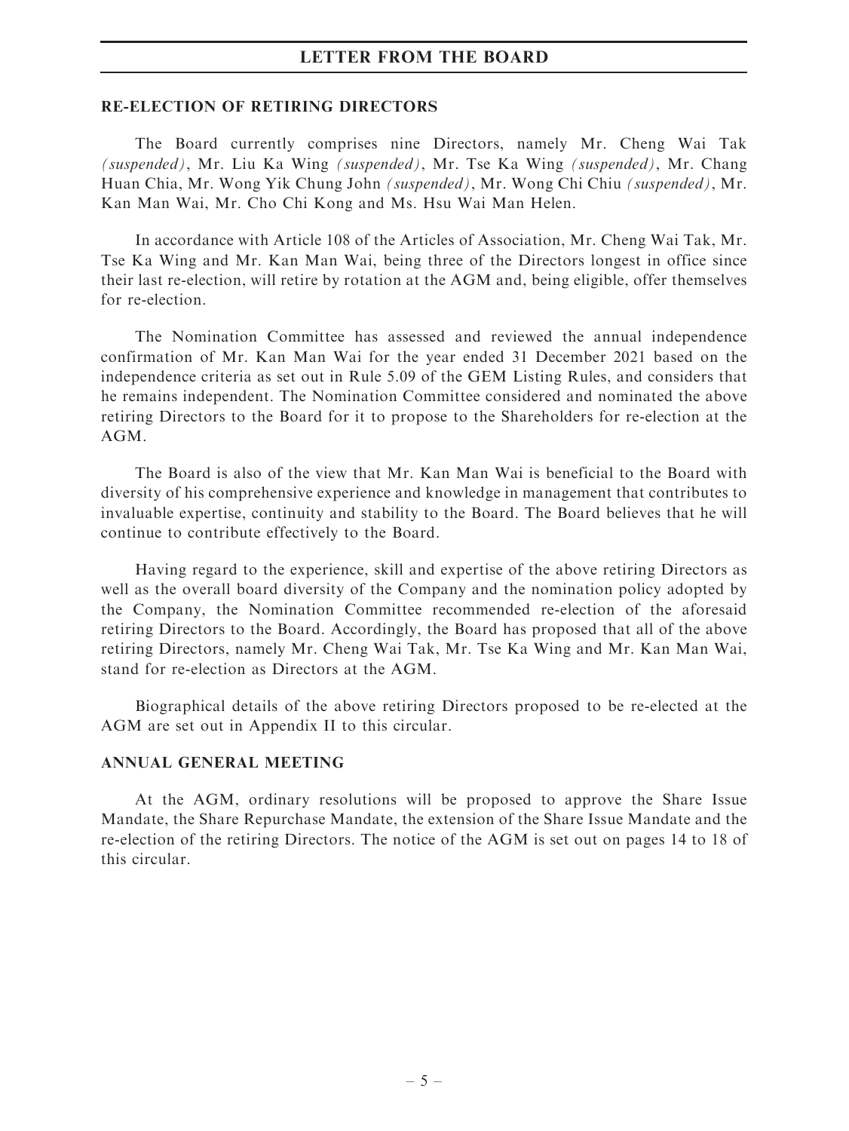#### RE-ELECTION OF RETIRING DIRECTORS

The Board currently comprises nine Directors, namely Mr. Cheng Wai Tak (suspended), Mr. Liu Ka Wing (suspended), Mr. Tse Ka Wing (suspended), Mr. Chang Huan Chia, Mr. Wong Yik Chung John (suspended), Mr. Wong Chi Chiu (suspended), Mr. Kan Man Wai, Mr. Cho Chi Kong and Ms. Hsu Wai Man Helen.

In accordance with Article 108 of the Articles of Association, Mr. Cheng Wai Tak, Mr. Tse Ka Wing and Mr. Kan Man Wai, being three of the Directors longest in office since their last re-election, will retire by rotation at the AGM and, being eligible, offer themselves for re-election.

The Nomination Committee has assessed and reviewed the annual independence confirmation of Mr. Kan Man Wai for the year ended 31 December 2021 based on the independence criteria as set out in Rule 5.09 of the GEM Listing Rules, and considers that he remains independent. The Nomination Committee considered and nominated the above retiring Directors to the Board for it to propose to the Shareholders for re-election at the AGM.

The Board is also of the view that Mr. Kan Man Wai is beneficial to the Board with diversity of his comprehensive experience and knowledge in management that contributes to invaluable expertise, continuity and stability to the Board. The Board believes that he will continue to contribute effectively to the Board.

Having regard to the experience, skill and expertise of the above retiring Directors as well as the overall board diversity of the Company and the nomination policy adopted by the Company, the Nomination Committee recommended re-election of the aforesaid retiring Directors to the Board. Accordingly, the Board has proposed that all of the above retiring Directors, namely Mr. Cheng Wai Tak, Mr. Tse Ka Wing and Mr. Kan Man Wai, stand for re-election as Directors at the AGM.

Biographical details of the above retiring Directors proposed to be re-elected at the AGM are set out in Appendix II to this circular.

#### ANNUAL GENERAL MEETING

At the AGM, ordinary resolutions will be proposed to approve the Share Issue Mandate, the Share Repurchase Mandate, the extension of the Share Issue Mandate and the re-election of the retiring Directors. The notice of the AGM is set out on pages 14 to 18 of this circular.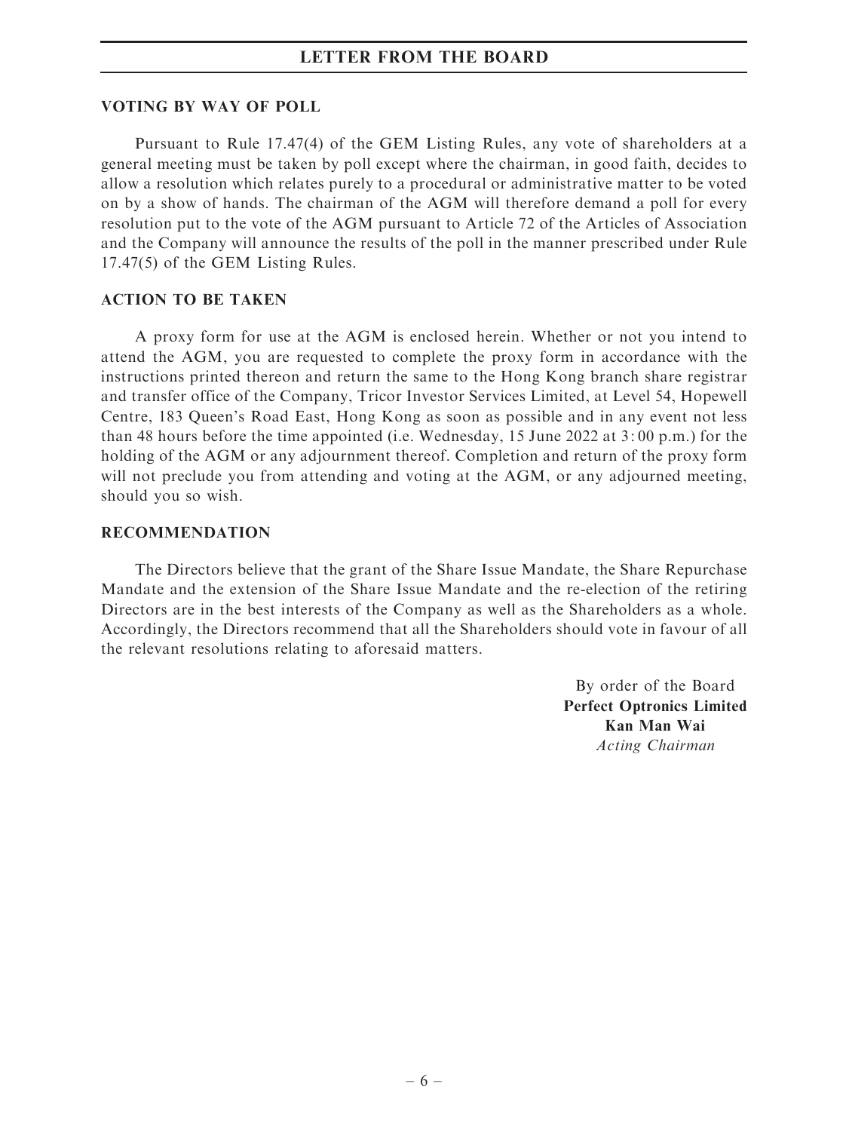#### VOTING BY WAY OF POLL

Pursuant to Rule 17.47(4) of the GEM Listing Rules, any vote of shareholders at a general meeting must be taken by poll except where the chairman, in good faith, decides to allow a resolution which relates purely to a procedural or administrative matter to be voted on by a show of hands. The chairman of the AGM will therefore demand a poll for every resolution put to the vote of the AGM pursuant to Article 72 of the Articles of Association and the Company will announce the results of the poll in the manner prescribed under Rule 17.47(5) of the GEM Listing Rules.

#### ACTION TO BE TAKEN

A proxy form for use at the AGM is enclosed herein. Whether or not you intend to attend the AGM, you are requested to complete the proxy form in accordance with the instructions printed thereon and return the same to the Hong Kong branch share registrar and transfer office of the Company, Tricor Investor Services Limited, at Level 54, Hopewell Centre, 183 Queen's Road East, Hong Kong as soon as possible and in any event not less than 48 hours before the time appointed (i.e. Wednesday, 15 June 2022 at 3: 00 p.m.) for the holding of the AGM or any adjournment thereof. Completion and return of the proxy form will not preclude you from attending and voting at the AGM, or any adjourned meeting, should you so wish.

#### RECOMMENDATION

The Directors believe that the grant of the Share Issue Mandate, the Share Repurchase Mandate and the extension of the Share Issue Mandate and the re-election of the retiring Directors are in the best interests of the Company as well as the Shareholders as a whole. Accordingly, the Directors recommend that all the Shareholders should vote in favour of all the relevant resolutions relating to aforesaid matters.

> By order of the Board Perfect Optronics Limited Kan Man Wai Acting Chairman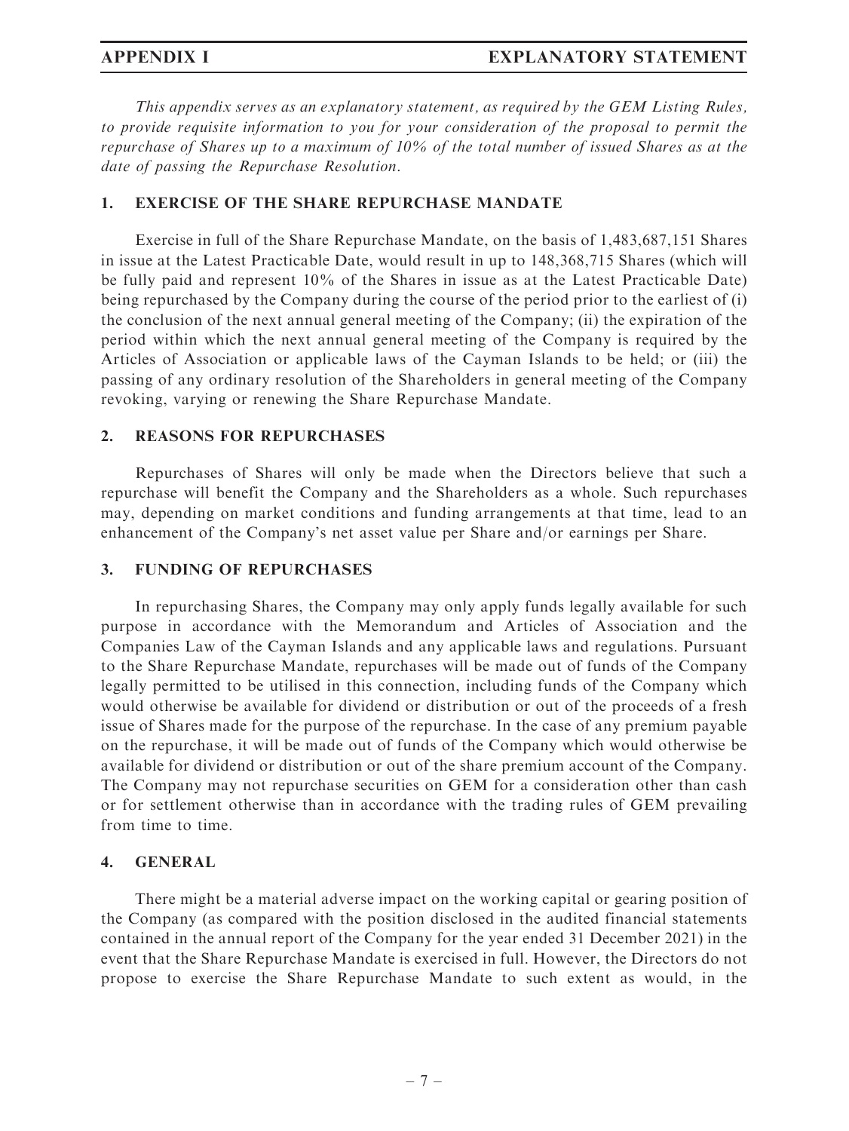This appendix serves as an explanatory statement, as required by the GEM Listing Rules, to provide requisite information to you for your consideration of the proposal to permit the repurchase of Shares up to a maximum of 10% of the total number of issued Shares as at the date of passing the Repurchase Resolution.

#### 1. EXERCISE OF THE SHARE REPURCHASE MANDATE

Exercise in full of the Share Repurchase Mandate, on the basis of 1,483,687,151 Shares in issue at the Latest Practicable Date, would result in up to 148,368,715 Shares (which will be fully paid and represent 10% of the Shares in issue as at the Latest Practicable Date) being repurchased by the Company during the course of the period prior to the earliest of (i) the conclusion of the next annual general meeting of the Company; (ii) the expiration of the period within which the next annual general meeting of the Company is required by the Articles of Association or applicable laws of the Cayman Islands to be held; or (iii) the passing of any ordinary resolution of the Shareholders in general meeting of the Company revoking, varying or renewing the Share Repurchase Mandate.

#### 2. REASONS FOR REPURCHASES

Repurchases of Shares will only be made when the Directors believe that such a repurchase will benefit the Company and the Shareholders as a whole. Such repurchases may, depending on market conditions and funding arrangements at that time, lead to an enhancement of the Company's net asset value per Share and/or earnings per Share.

#### 3. FUNDING OF REPURCHASES

In repurchasing Shares, the Company may only apply funds legally available for such purpose in accordance with the Memorandum and Articles of Association and the Companies Law of the Cayman Islands and any applicable laws and regulations. Pursuant to the Share Repurchase Mandate, repurchases will be made out of funds of the Company legally permitted to be utilised in this connection, including funds of the Company which would otherwise be available for dividend or distribution or out of the proceeds of a fresh issue of Shares made for the purpose of the repurchase. In the case of any premium payable on the repurchase, it will be made out of funds of the Company which would otherwise be available for dividend or distribution or out of the share premium account of the Company. The Company may not repurchase securities on GEM for a consideration other than cash or for settlement otherwise than in accordance with the trading rules of GEM prevailing from time to time.

### 4. GENERAL

There might be a material adverse impact on the working capital or gearing position of the Company (as compared with the position disclosed in the audited financial statements contained in the annual report of the Company for the year ended 31 December 2021) in the event that the Share Repurchase Mandate is exercised in full. However, the Directors do not propose to exercise the Share Repurchase Mandate to such extent as would, in the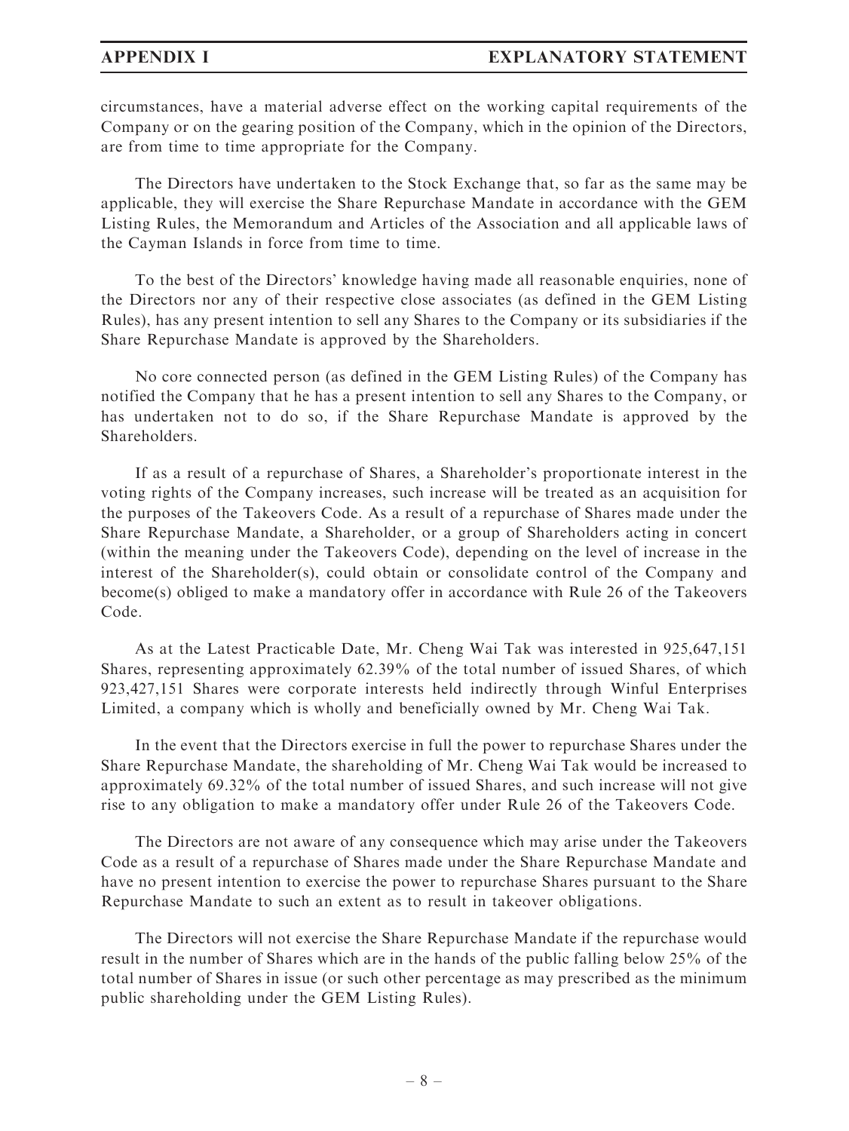circumstances, have a material adverse effect on the working capital requirements of the Company or on the gearing position of the Company, which in the opinion of the Directors, are from time to time appropriate for the Company.

The Directors have undertaken to the Stock Exchange that, so far as the same may be applicable, they will exercise the Share Repurchase Mandate in accordance with the GEM Listing Rules, the Memorandum and Articles of the Association and all applicable laws of the Cayman Islands in force from time to time.

To the best of the Directors' knowledge having made all reasonable enquiries, none of the Directors nor any of their respective close associates (as defined in the GEM Listing Rules), has any present intention to sell any Shares to the Company or its subsidiaries if the Share Repurchase Mandate is approved by the Shareholders.

No core connected person (as defined in the GEM Listing Rules) of the Company has notified the Company that he has a present intention to sell any Shares to the Company, or has undertaken not to do so, if the Share Repurchase Mandate is approved by the Shareholders.

If as a result of a repurchase of Shares, a Shareholder's proportionate interest in the voting rights of the Company increases, such increase will be treated as an acquisition for the purposes of the Takeovers Code. As a result of a repurchase of Shares made under the Share Repurchase Mandate, a Shareholder, or a group of Shareholders acting in concert (within the meaning under the Takeovers Code), depending on the level of increase in the interest of the Shareholder(s), could obtain or consolidate control of the Company and become(s) obliged to make a mandatory offer in accordance with Rule 26 of the Takeovers Code.

As at the Latest Practicable Date, Mr. Cheng Wai Tak was interested in 925,647,151 Shares, representing approximately 62.39% of the total number of issued Shares, of which 923,427,151 Shares were corporate interests held indirectly through Winful Enterprises Limited, a company which is wholly and beneficially owned by Mr. Cheng Wai Tak.

In the event that the Directors exercise in full the power to repurchase Shares under the Share Repurchase Mandate, the shareholding of Mr. Cheng Wai Tak would be increased to approximately 69.32% of the total number of issued Shares, and such increase will not give rise to any obligation to make a mandatory offer under Rule 26 of the Takeovers Code.

The Directors are not aware of any consequence which may arise under the Takeovers Code as a result of a repurchase of Shares made under the Share Repurchase Mandate and have no present intention to exercise the power to repurchase Shares pursuant to the Share Repurchase Mandate to such an extent as to result in takeover obligations.

The Directors will not exercise the Share Repurchase Mandate if the repurchase would result in the number of Shares which are in the hands of the public falling below 25% of the total number of Shares in issue (or such other percentage as may prescribed as the minimum public shareholding under the GEM Listing Rules).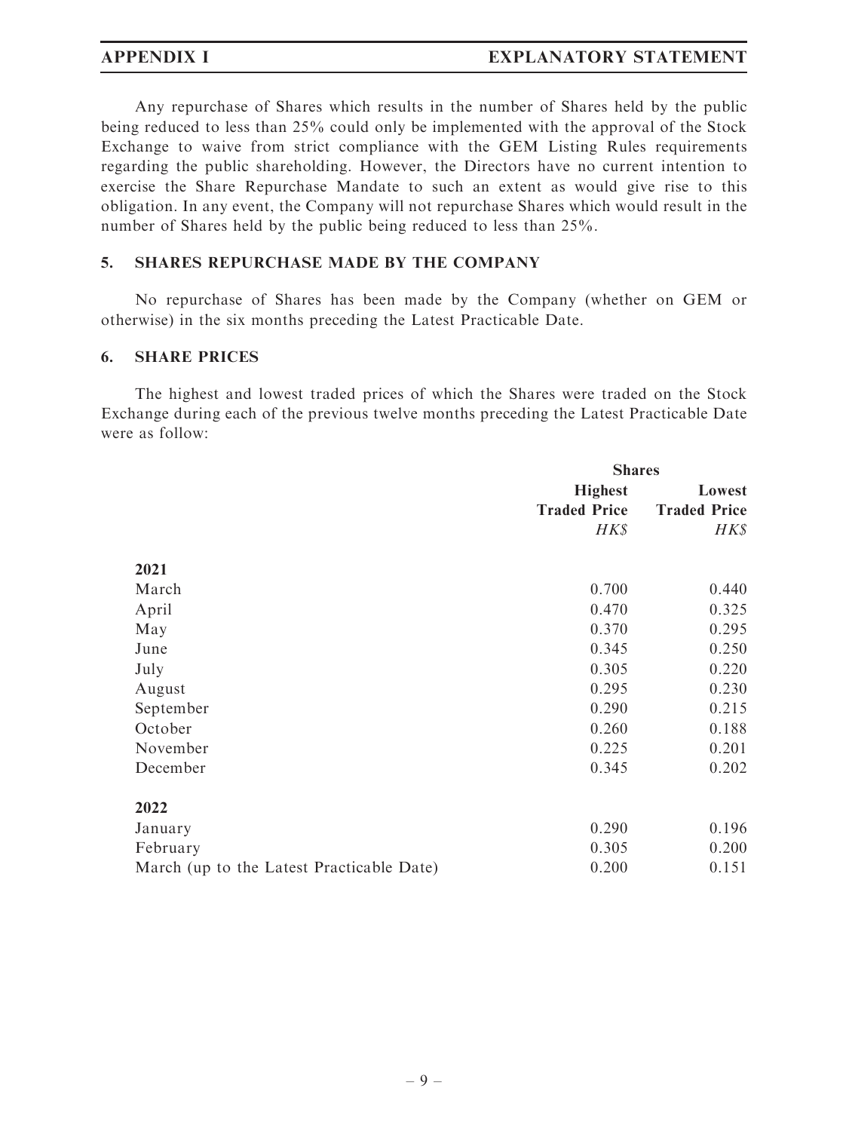Any repurchase of Shares which results in the number of Shares held by the public being reduced to less than 25% could only be implemented with the approval of the Stock Exchange to waive from strict compliance with the GEM Listing Rules requirements regarding the public shareholding. However, the Directors have no current intention to exercise the Share Repurchase Mandate to such an extent as would give rise to this obligation. In any event, the Company will not repurchase Shares which would result in the number of Shares held by the public being reduced to less than 25%.

#### 5. SHARES REPURCHASE MADE BY THE COMPANY

No repurchase of Shares has been made by the Company (whether on GEM or otherwise) in the six months preceding the Latest Practicable Date.

#### 6. SHARE PRICES

The highest and lowest traded prices of which the Shares were traded on the Stock Exchange during each of the previous twelve months preceding the Latest Practicable Date were as follow:

|                                           |                     | <b>Shares</b>       |  |
|-------------------------------------------|---------------------|---------------------|--|
|                                           | <b>Highest</b>      | Lowest              |  |
|                                           | <b>Traded Price</b> | <b>Traded Price</b> |  |
|                                           | HK\$                | HK\$                |  |
| 2021                                      |                     |                     |  |
| March                                     | 0.700               | 0.440               |  |
| April                                     | 0.470               | 0.325               |  |
| May                                       | 0.370               | 0.295               |  |
| June                                      | 0.345               | 0.250               |  |
| July                                      | 0.305               | 0.220               |  |
| August                                    | 0.295               | 0.230               |  |
| September                                 | 0.290               | 0.215               |  |
| October                                   | 0.260               | 0.188               |  |
| November                                  | 0.225               | 0.201               |  |
| December                                  | 0.345               | 0.202               |  |
| 2022                                      |                     |                     |  |
| January                                   | 0.290               | 0.196               |  |
| February                                  | 0.305               | 0.200               |  |
| March (up to the Latest Practicable Date) | 0.200               | 0.151               |  |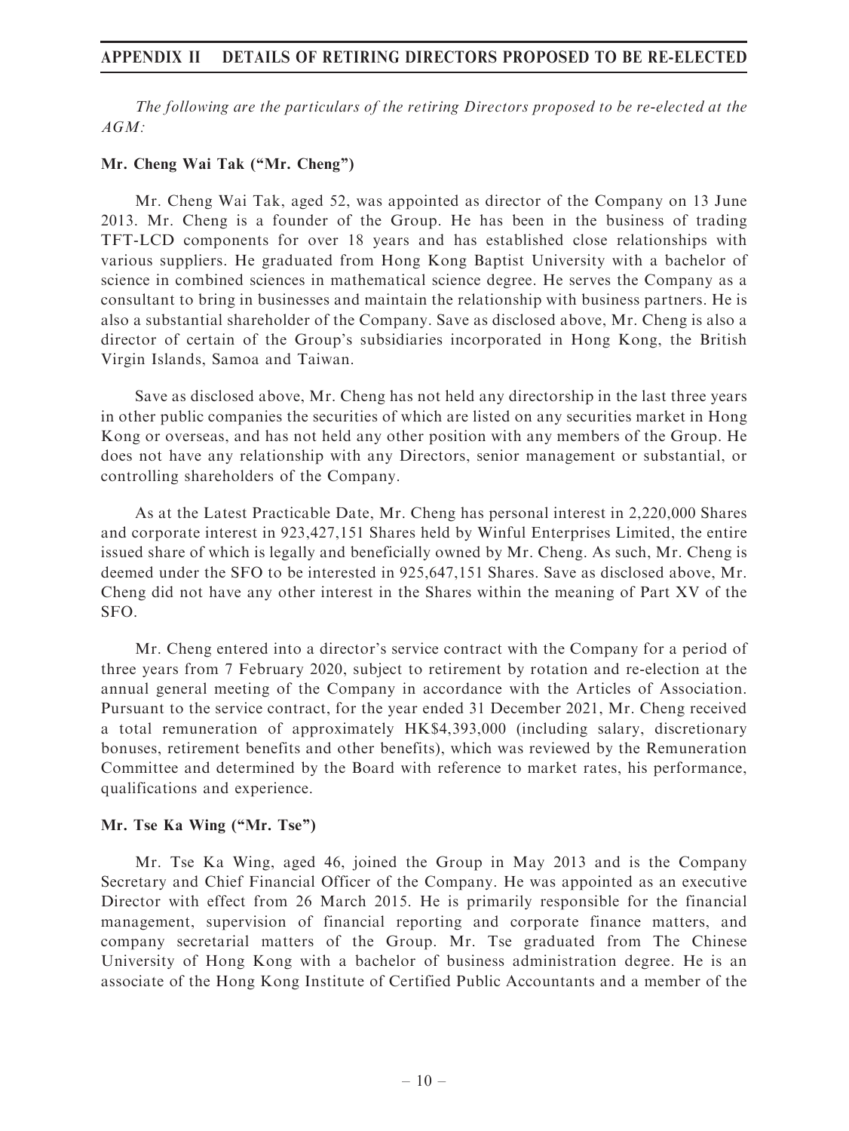The following are the particulars of the retiring Directors proposed to be re-elected at the AGM:

#### Mr. Cheng Wai Tak (''Mr. Cheng'')

Mr. Cheng Wai Tak, aged 52, was appointed as director of the Company on 13 June 2013. Mr. Cheng is a founder of the Group. He has been in the business of trading TFT-LCD components for over 18 years and has established close relationships with various suppliers. He graduated from Hong Kong Baptist University with a bachelor of science in combined sciences in mathematical science degree. He serves the Company as a consultant to bring in businesses and maintain the relationship with business partners. He is also a substantial shareholder of the Company. Save as disclosed above, Mr. Cheng is also a director of certain of the Group's subsidiaries incorporated in Hong Kong, the British Virgin Islands, Samoa and Taiwan.

Save as disclosed above, Mr. Cheng has not held any directorship in the last three years in other public companies the securities of which are listed on any securities market in Hong Kong or overseas, and has not held any other position with any members of the Group. He does not have any relationship with any Directors, senior management or substantial, or controlling shareholders of the Company.

As at the Latest Practicable Date, Mr. Cheng has personal interest in 2,220,000 Shares and corporate interest in 923,427,151 Shares held by Winful Enterprises Limited, the entire issued share of which is legally and beneficially owned by Mr. Cheng. As such, Mr. Cheng is deemed under the SFO to be interested in 925,647,151 Shares. Save as disclosed above, Mr. Cheng did not have any other interest in the Shares within the meaning of Part XV of the SFO.

Mr. Cheng entered into a director's service contract with the Company for a period of three years from 7 February 2020, subject to retirement by rotation and re-election at the annual general meeting of the Company in accordance with the Articles of Association. Pursuant to the service contract, for the year ended 31 December 2021, Mr. Cheng received a total remuneration of approximately HK\$4,393,000 (including salary, discretionary bonuses, retirement benefits and other benefits), which was reviewed by the Remuneration Committee and determined by the Board with reference to market rates, his performance, qualifications and experience.

### Mr. Tse Ka Wing ("Mr. Tse")

Mr. Tse Ka Wing, aged 46, joined the Group in May 2013 and is the Company Secretary and Chief Financial Officer of the Company. He was appointed as an executive Director with effect from 26 March 2015. He is primarily responsible for the financial management, supervision of financial reporting and corporate finance matters, and company secretarial matters of the Group. Mr. Tse graduated from The Chinese University of Hong Kong with a bachelor of business administration degree. He is an associate of the Hong Kong Institute of Certified Public Accountants and a member of the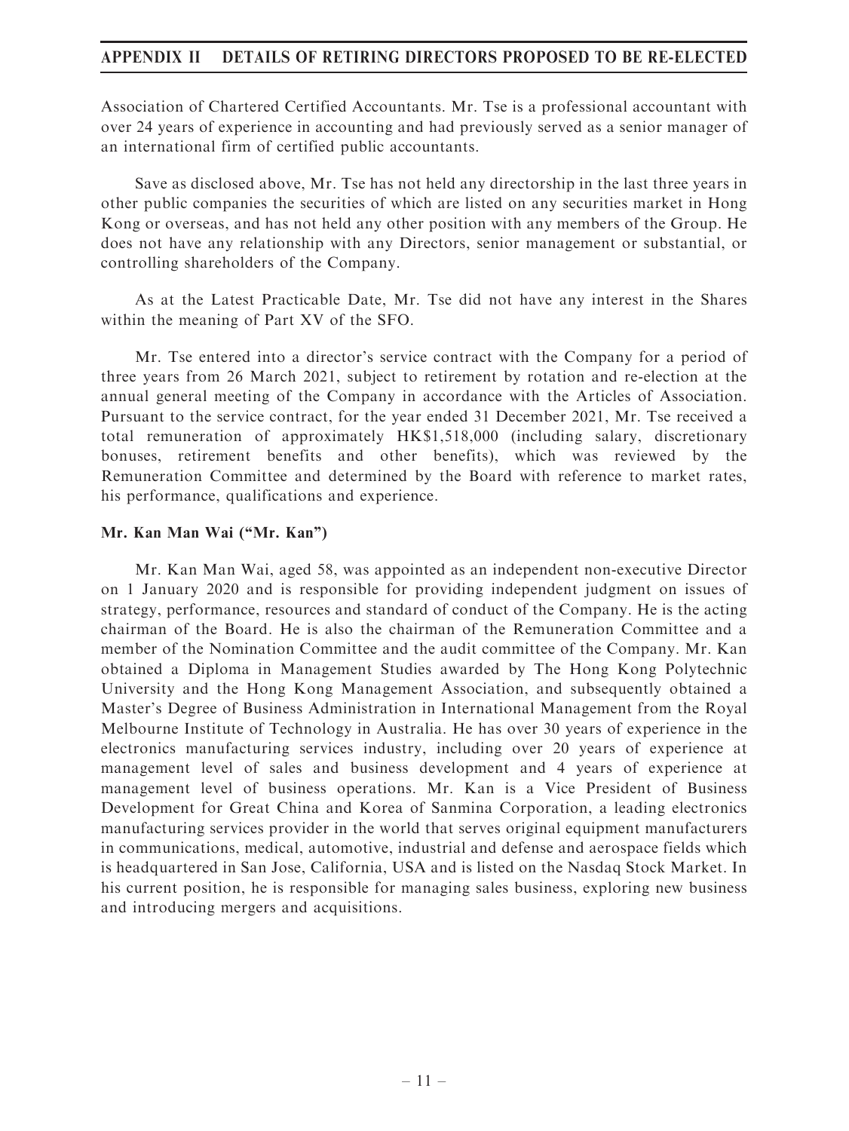Association of Chartered Certified Accountants. Mr. Tse is a professional accountant with over 24 years of experience in accounting and had previously served as a senior manager of an international firm of certified public accountants.

Save as disclosed above, Mr. Tse has not held any directorship in the last three years in other public companies the securities of which are listed on any securities market in Hong Kong or overseas, and has not held any other position with any members of the Group. He does not have any relationship with any Directors, senior management or substantial, or controlling shareholders of the Company.

As at the Latest Practicable Date, Mr. Tse did not have any interest in the Shares within the meaning of Part XV of the SFO.

Mr. Tse entered into a director's service contract with the Company for a period of three years from 26 March 2021, subject to retirement by rotation and re-election at the annual general meeting of the Company in accordance with the Articles of Association. Pursuant to the service contract, for the year ended 31 December 2021, Mr. Tse received a total remuneration of approximately HK\$1,518,000 (including salary, discretionary bonuses, retirement benefits and other benefits), which was reviewed by the Remuneration Committee and determined by the Board with reference to market rates, his performance, qualifications and experience.

### Mr. Kan Man Wai (''Mr. Kan'')

Mr. Kan Man Wai, aged 58, was appointed as an independent non-executive Director on 1 January 2020 and is responsible for providing independent judgment on issues of strategy, performance, resources and standard of conduct of the Company. He is the acting chairman of the Board. He is also the chairman of the Remuneration Committee and a member of the Nomination Committee and the audit committee of the Company. Mr. Kan obtained a Diploma in Management Studies awarded by The Hong Kong Polytechnic University and the Hong Kong Management Association, and subsequently obtained a Master's Degree of Business Administration in International Management from the Royal Melbourne Institute of Technology in Australia. He has over 30 years of experience in the electronics manufacturing services industry, including over 20 years of experience at management level of sales and business development and 4 years of experience at management level of business operations. Mr. Kan is a Vice President of Business Development for Great China and Korea of Sanmina Corporation, a leading electronics manufacturing services provider in the world that serves original equipment manufacturers in communications, medical, automotive, industrial and defense and aerospace fields which is headquartered in San Jose, California, USA and is listed on the Nasdaq Stock Market. In his current position, he is responsible for managing sales business, exploring new business and introducing mergers and acquisitions.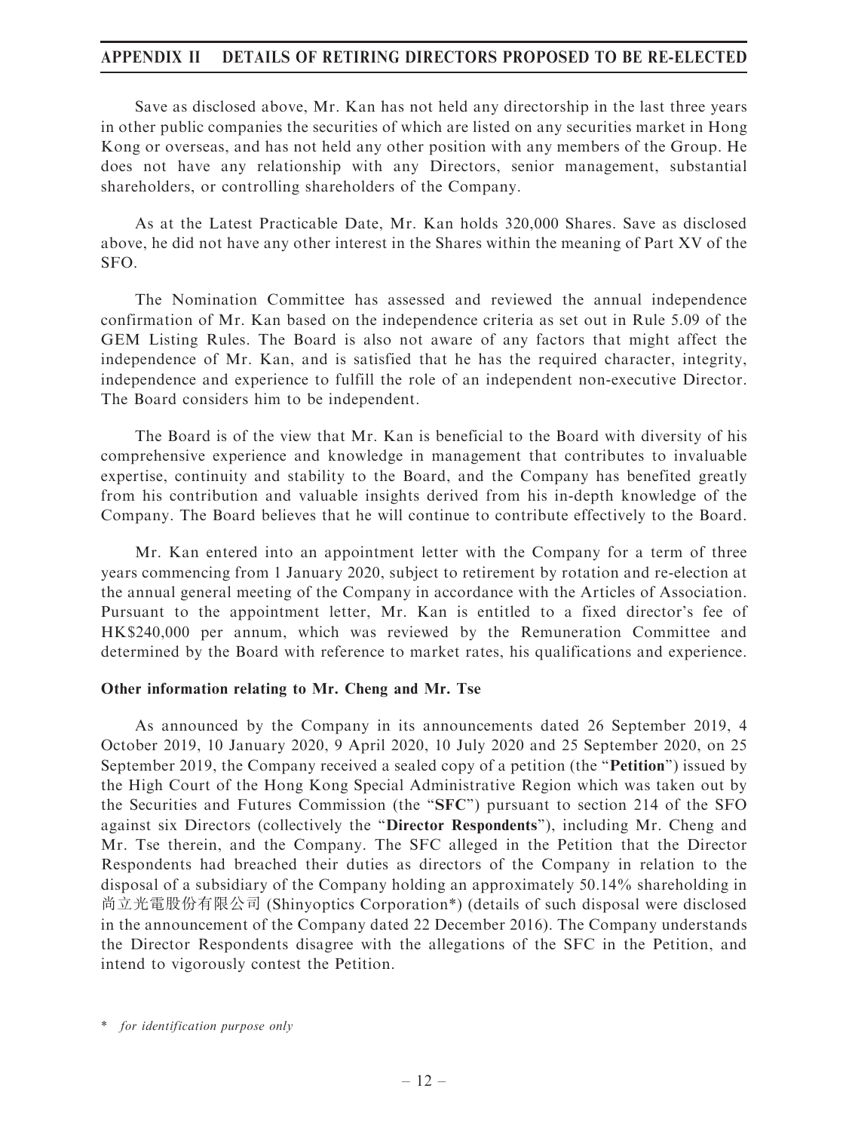Save as disclosed above, Mr. Kan has not held any directorship in the last three years in other public companies the securities of which are listed on any securities market in Hong Kong or overseas, and has not held any other position with any members of the Group. He does not have any relationship with any Directors, senior management, substantial shareholders, or controlling shareholders of the Company.

As at the Latest Practicable Date, Mr. Kan holds 320,000 Shares. Save as disclosed above, he did not have any other interest in the Shares within the meaning of Part XV of the SFO.

The Nomination Committee has assessed and reviewed the annual independence confirmation of Mr. Kan based on the independence criteria as set out in Rule 5.09 of the GEM Listing Rules. The Board is also not aware of any factors that might affect the independence of Mr. Kan, and is satisfied that he has the required character, integrity, independence and experience to fulfill the role of an independent non-executive Director. The Board considers him to be independent.

The Board is of the view that Mr. Kan is beneficial to the Board with diversity of his comprehensive experience and knowledge in management that contributes to invaluable expertise, continuity and stability to the Board, and the Company has benefited greatly from his contribution and valuable insights derived from his in-depth knowledge of the Company. The Board believes that he will continue to contribute effectively to the Board.

Mr. Kan entered into an appointment letter with the Company for a term of three years commencing from 1 January 2020, subject to retirement by rotation and re-election at the annual general meeting of the Company in accordance with the Articles of Association. Pursuant to the appointment letter, Mr. Kan is entitled to a fixed director's fee of HK\$240,000 per annum, which was reviewed by the Remuneration Committee and determined by the Board with reference to market rates, his qualifications and experience.

#### Other information relating to Mr. Cheng and Mr. Tse

As announced by the Company in its announcements dated 26 September 2019, 4 October 2019, 10 January 2020, 9 April 2020, 10 July 2020 and 25 September 2020, on 25 September 2019, the Company received a sealed copy of a petition (the "**Petition**") issued by the High Court of the Hong Kong Special Administrative Region which was taken out by the Securities and Futures Commission (the ''SFC'') pursuant to section 214 of the SFO against six Directors (collectively the "Director Respondents"), including Mr. Cheng and Mr. Tse therein, and the Company. The SFC alleged in the Petition that the Director Respondents had breached their duties as directors of the Company in relation to the disposal of a subsidiary of the Company holding an approximately 50.14% shareholding in 尚立光電股份有限公司 (Shinyoptics Corporation\*) (details of such disposal were disclosed in the announcement of the Company dated 22 December 2016). The Company understands the Director Respondents disagree with the allegations of the SFC in the Petition, and intend to vigorously contest the Petition.

<sup>\*</sup> for identification purpose only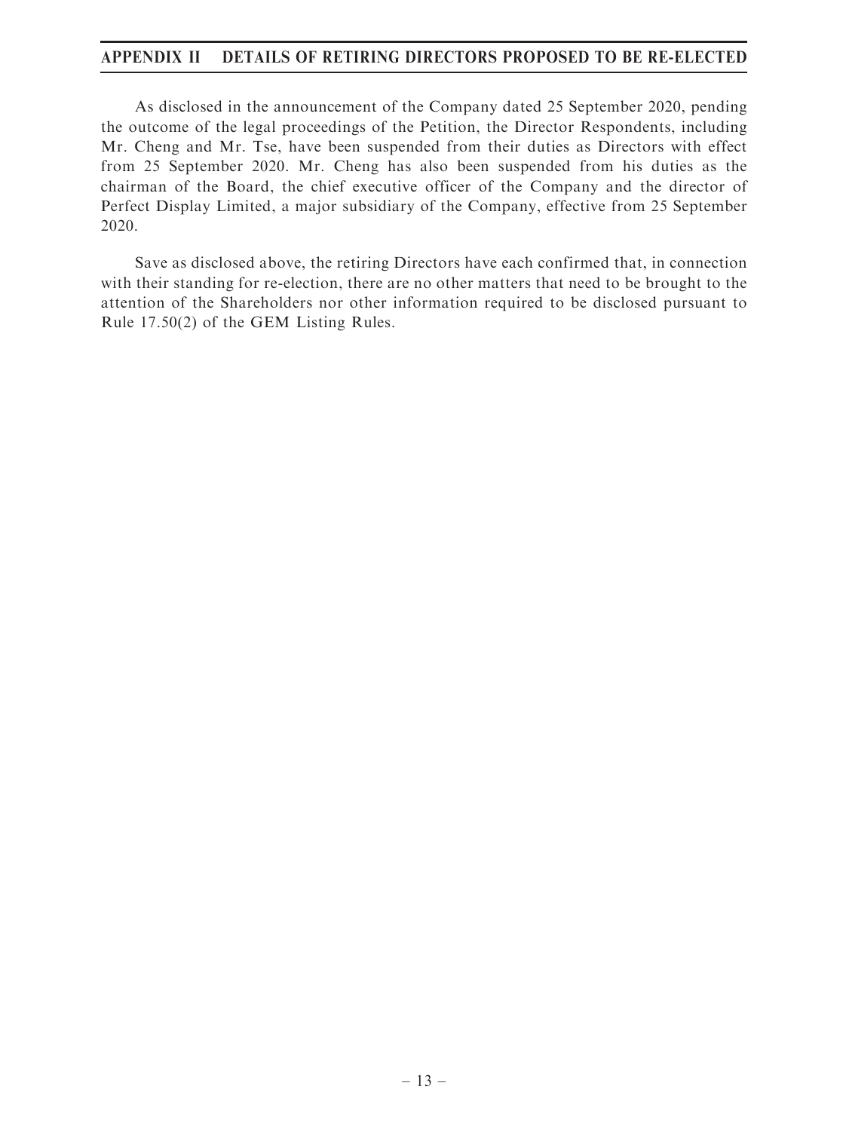As disclosed in the announcement of the Company dated 25 September 2020, pending the outcome of the legal proceedings of the Petition, the Director Respondents, including Mr. Cheng and Mr. Tse, have been suspended from their duties as Directors with effect from 25 September 2020. Mr. Cheng has also been suspended from his duties as the chairman of the Board, the chief executive officer of the Company and the director of Perfect Display Limited, a major subsidiary of the Company, effective from 25 September 2020.

Save as disclosed above, the retiring Directors have each confirmed that, in connection with their standing for re-election, there are no other matters that need to be brought to the attention of the Shareholders nor other information required to be disclosed pursuant to Rule 17.50(2) of the GEM Listing Rules.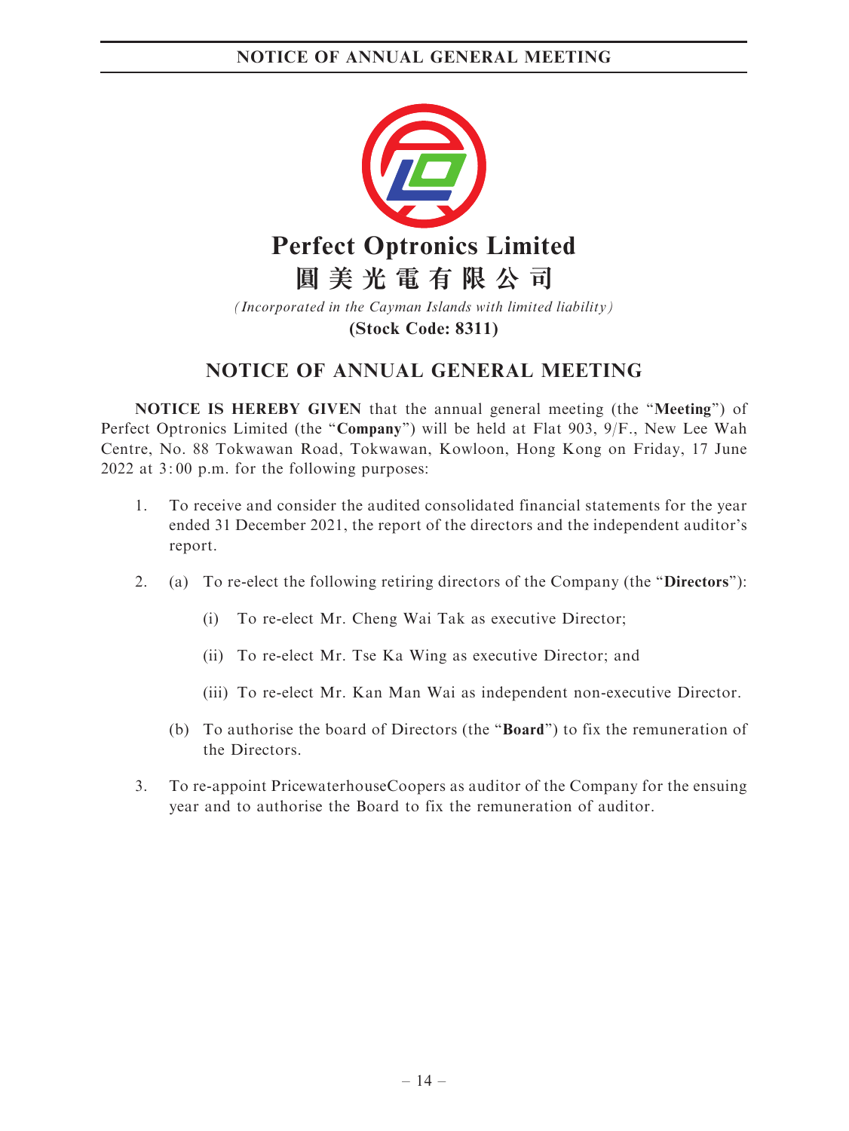

*(Incorporated in the Cayman Islands with limited liability)* **(Stock Code: 8311)**

## NOTICE OF ANNUAL GENERAL MEETING

NOTICE IS HEREBY GIVEN that the annual general meeting (the ''Meeting'') of Perfect Optronics Limited (the "Company") will be held at Flat 903, 9/F., New Lee Wah Centre, No. 88 Tokwawan Road, Tokwawan, Kowloon, Hong Kong on Friday, 17 June 2022 at 3: 00 p.m. for the following purposes:

- 1. To receive and consider the audited consolidated financial statements for the year ended 31 December 2021, the report of the directors and the independent auditor's report.
- 2. (a) To re-elect the following retiring directors of the Company (the "Directors"):
	- (i) To re-elect Mr. Cheng Wai Tak as executive Director;
	- (ii) To re-elect Mr. Tse Ka Wing as executive Director; and
	- (iii) To re-elect Mr. Kan Man Wai as independent non-executive Director.
	- (b) To authorise the board of Directors (the ''Board'') to fix the remuneration of the Directors.
- 3. To re-appoint PricewaterhouseCoopers as auditor of the Company for the ensuing year and to authorise the Board to fix the remuneration of auditor.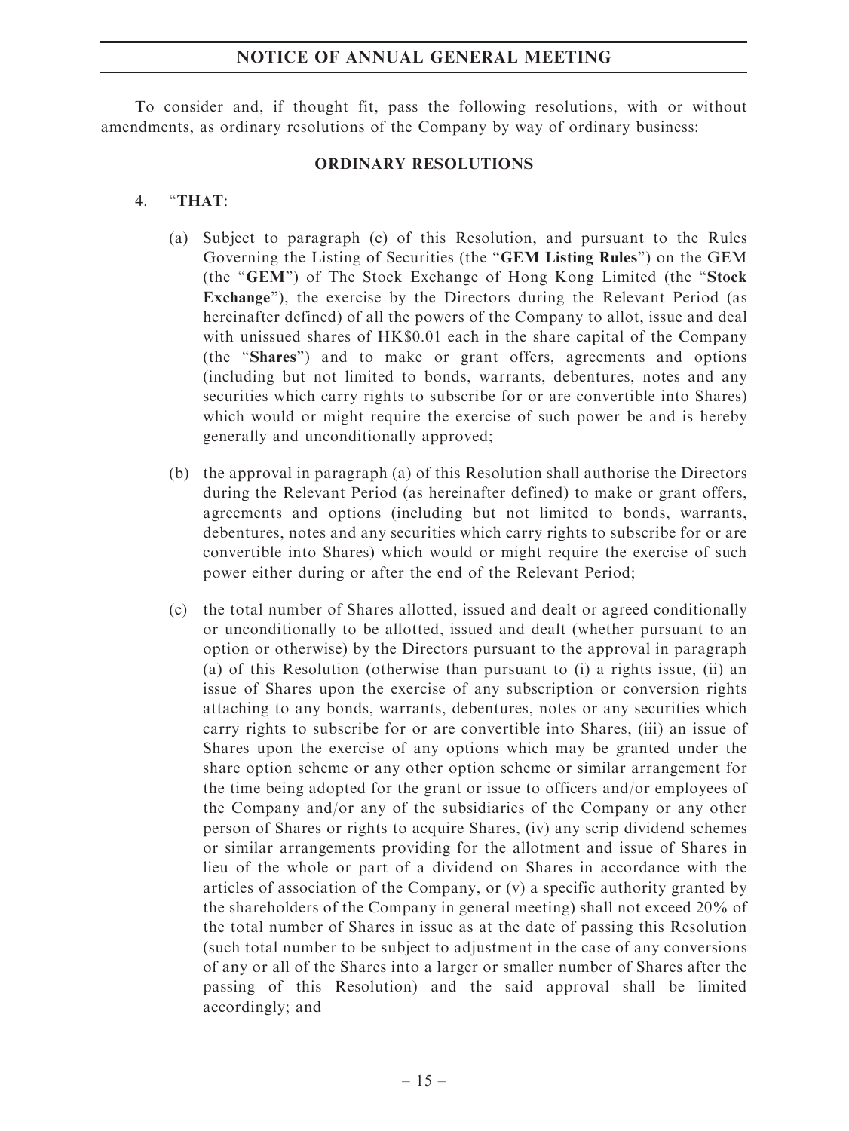#### NOTICE OF ANNUAL GENERAL MEETING

To consider and, if thought fit, pass the following resolutions, with or without amendments, as ordinary resolutions of the Company by way of ordinary business:

#### ORDINARY RESOLUTIONS

#### 4. ''THAT:

- (a) Subject to paragraph (c) of this Resolution, and pursuant to the Rules Governing the Listing of Securities (the ''GEM Listing Rules'') on the GEM (the "GEM") of The Stock Exchange of Hong Kong Limited (the "Stock") Exchange''), the exercise by the Directors during the Relevant Period (as hereinafter defined) of all the powers of the Company to allot, issue and deal with unissued shares of HK\$0.01 each in the share capital of the Company (the ''Shares'') and to make or grant offers, agreements and options (including but not limited to bonds, warrants, debentures, notes and any securities which carry rights to subscribe for or are convertible into Shares) which would or might require the exercise of such power be and is hereby generally and unconditionally approved;
- (b) the approval in paragraph (a) of this Resolution shall authorise the Directors during the Relevant Period (as hereinafter defined) to make or grant offers, agreements and options (including but not limited to bonds, warrants, debentures, notes and any securities which carry rights to subscribe for or are convertible into Shares) which would or might require the exercise of such power either during or after the end of the Relevant Period;
- (c) the total number of Shares allotted, issued and dealt or agreed conditionally or unconditionally to be allotted, issued and dealt (whether pursuant to an option or otherwise) by the Directors pursuant to the approval in paragraph (a) of this Resolution (otherwise than pursuant to (i) a rights issue, (ii) an issue of Shares upon the exercise of any subscription or conversion rights attaching to any bonds, warrants, debentures, notes or any securities which carry rights to subscribe for or are convertible into Shares, (iii) an issue of Shares upon the exercise of any options which may be granted under the share option scheme or any other option scheme or similar arrangement for the time being adopted for the grant or issue to officers and/or employees of the Company and/or any of the subsidiaries of the Company or any other person of Shares or rights to acquire Shares, (iv) any scrip dividend schemes or similar arrangements providing for the allotment and issue of Shares in lieu of the whole or part of a dividend on Shares in accordance with the articles of association of the Company, or (v) a specific authority granted by the shareholders of the Company in general meeting) shall not exceed 20% of the total number of Shares in issue as at the date of passing this Resolution (such total number to be subject to adjustment in the case of any conversions of any or all of the Shares into a larger or smaller number of Shares after the passing of this Resolution) and the said approval shall be limited accordingly; and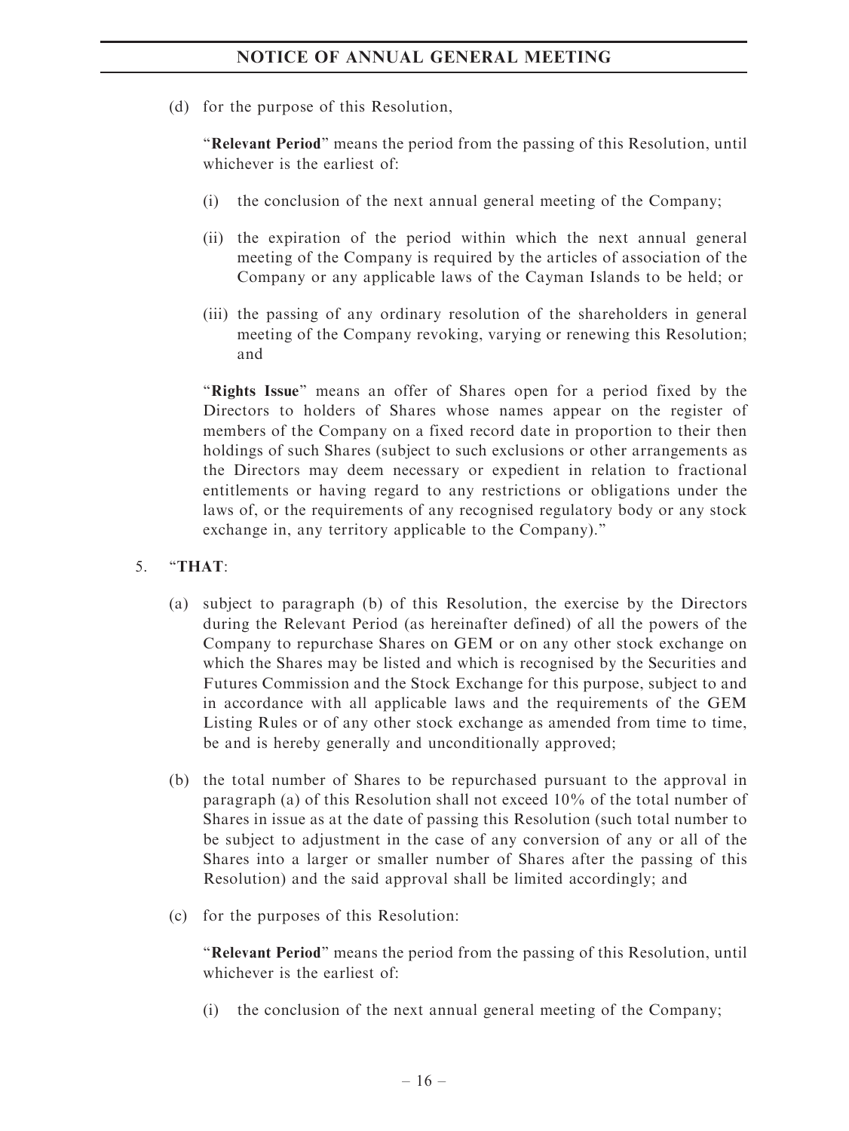(d) for the purpose of this Resolution,

"Relevant Period" means the period from the passing of this Resolution, until whichever is the earliest of:

- (i) the conclusion of the next annual general meeting of the Company;
- (ii) the expiration of the period within which the next annual general meeting of the Company is required by the articles of association of the Company or any applicable laws of the Cayman Islands to be held; or
- (iii) the passing of any ordinary resolution of the shareholders in general meeting of the Company revoking, varying or renewing this Resolution; and

"Rights Issue" means an offer of Shares open for a period fixed by the Directors to holders of Shares whose names appear on the register of members of the Company on a fixed record date in proportion to their then holdings of such Shares (subject to such exclusions or other arrangements as the Directors may deem necessary or expedient in relation to fractional entitlements or having regard to any restrictions or obligations under the laws of, or the requirements of any recognised regulatory body or any stock exchange in, any territory applicable to the Company).''

- 5. ''THAT:
	- (a) subject to paragraph (b) of this Resolution, the exercise by the Directors during the Relevant Period (as hereinafter defined) of all the powers of the Company to repurchase Shares on GEM or on any other stock exchange on which the Shares may be listed and which is recognised by the Securities and Futures Commission and the Stock Exchange for this purpose, subject to and in accordance with all applicable laws and the requirements of the GEM Listing Rules or of any other stock exchange as amended from time to time, be and is hereby generally and unconditionally approved;
	- (b) the total number of Shares to be repurchased pursuant to the approval in paragraph (a) of this Resolution shall not exceed 10% of the total number of Shares in issue as at the date of passing this Resolution (such total number to be subject to adjustment in the case of any conversion of any or all of the Shares into a larger or smaller number of Shares after the passing of this Resolution) and the said approval shall be limited accordingly; and
	- (c) for the purposes of this Resolution:

''Relevant Period'' means the period from the passing of this Resolution, until whichever is the earliest of:

(i) the conclusion of the next annual general meeting of the Company;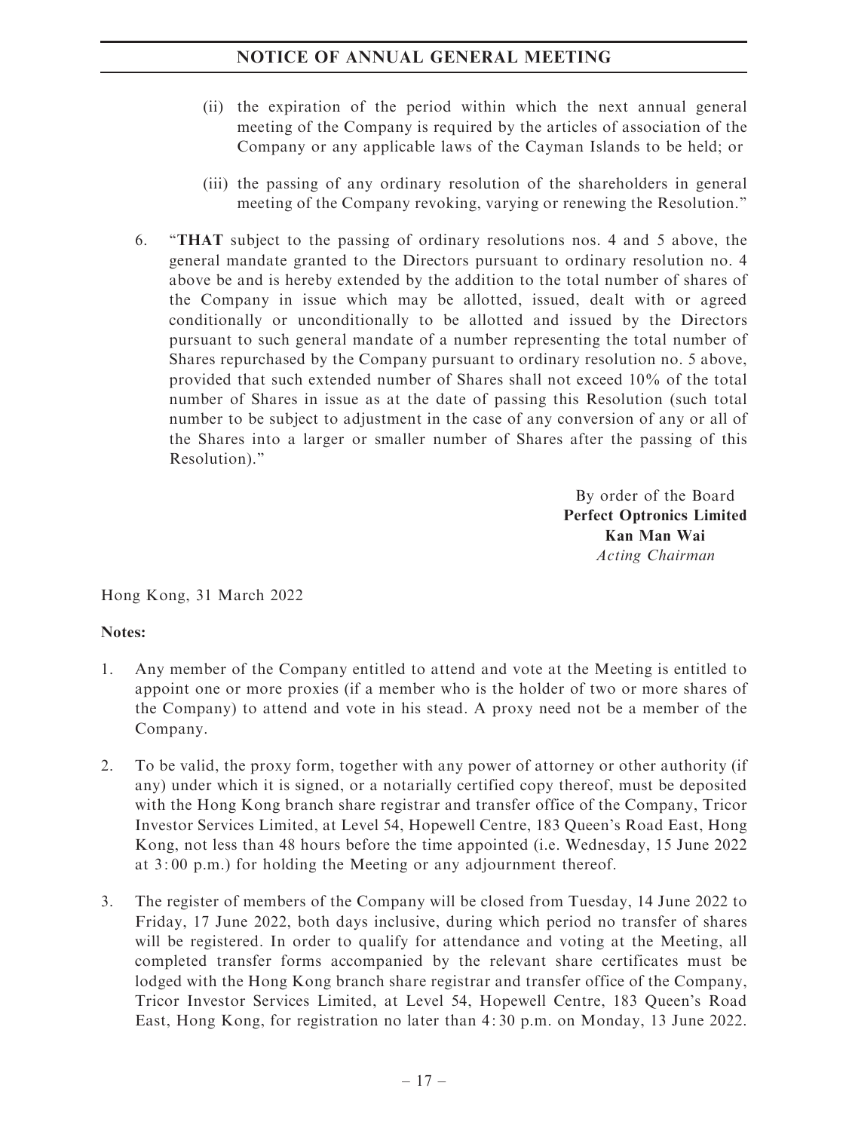## NOTICE OF ANNUAL GENERAL MEETING

- (ii) the expiration of the period within which the next annual general meeting of the Company is required by the articles of association of the Company or any applicable laws of the Cayman Islands to be held; or
- (iii) the passing of any ordinary resolution of the shareholders in general meeting of the Company revoking, varying or renewing the Resolution.''
- 6. ''THAT subject to the passing of ordinary resolutions nos. 4 and 5 above, the general mandate granted to the Directors pursuant to ordinary resolution no. 4 above be and is hereby extended by the addition to the total number of shares of the Company in issue which may be allotted, issued, dealt with or agreed conditionally or unconditionally to be allotted and issued by the Directors pursuant to such general mandate of a number representing the total number of Shares repurchased by the Company pursuant to ordinary resolution no. 5 above, provided that such extended number of Shares shall not exceed 10% of the total number of Shares in issue as at the date of passing this Resolution (such total number to be subject to adjustment in the case of any conversion of any or all of the Shares into a larger or smaller number of Shares after the passing of this Resolution).''

By order of the Board Perfect Optronics Limited Kan Man Wai Acting Chairman

Hong Kong, 31 March 2022

### Notes:

- 1. Any member of the Company entitled to attend and vote at the Meeting is entitled to appoint one or more proxies (if a member who is the holder of two or more shares of the Company) to attend and vote in his stead. A proxy need not be a member of the Company.
- 2. To be valid, the proxy form, together with any power of attorney or other authority (if any) under which it is signed, or a notarially certified copy thereof, must be deposited with the Hong Kong branch share registrar and transfer office of the Company, Tricor Investor Services Limited, at Level 54, Hopewell Centre, 183 Queen's Road East, Hong Kong, not less than 48 hours before the time appointed (i.e. Wednesday, 15 June 2022 at 3: 00 p.m.) for holding the Meeting or any adjournment thereof.
- 3. The register of members of the Company will be closed from Tuesday, 14 June 2022 to Friday, 17 June 2022, both days inclusive, during which period no transfer of shares will be registered. In order to qualify for attendance and voting at the Meeting, all completed transfer forms accompanied by the relevant share certificates must be lodged with the Hong Kong branch share registrar and transfer office of the Company, Tricor Investor Services Limited, at Level 54, Hopewell Centre, 183 Queen's Road East, Hong Kong, for registration no later than 4: 30 p.m. on Monday, 13 June 2022.